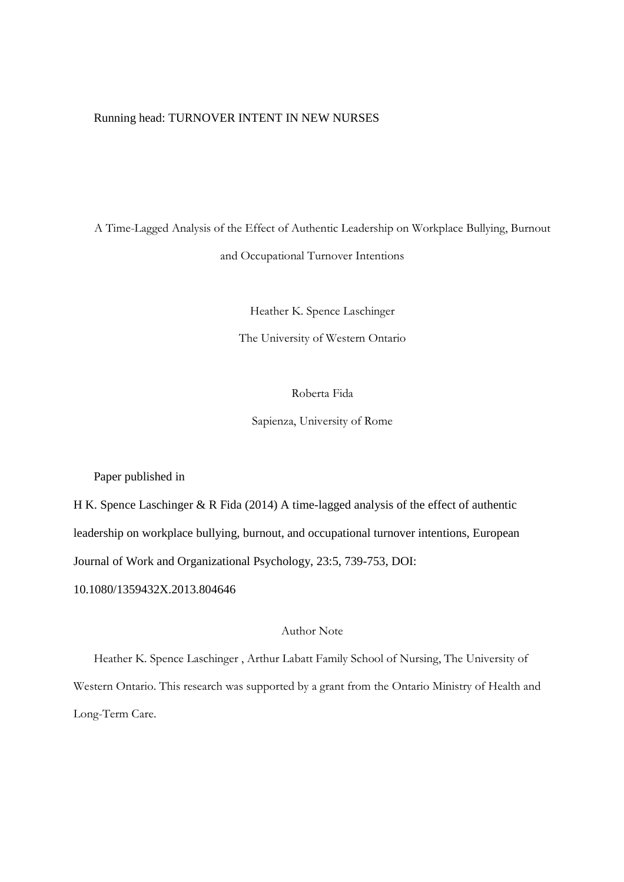### Running head: TURNOVER INTENT IN NEW NURSES

A Time-Lagged Analysis of the Effect of Authentic Leadership on Workplace Bullying, Burnout and Occupational Turnover Intentions

Heather K. Spence Laschinger

The University of Western Ontario

Roberta Fida

Sapienza, University of Rome

Paper published in

H K. Spence Laschinger & R Fida (2014) A time-lagged analysis of the effect of authentic leadership on workplace bullying, burnout, and occupational turnover intentions, European Journal of Work and Organizational Psychology, 23:5, 739-753, DOI:

10.1080/1359432X.2013.804646

### Author Note

Heather K. Spence Laschinger , Arthur Labatt Family School of Nursing, The University of Western Ontario. This research was supported by a grant from the Ontario Ministry of Health and Long-Term Care.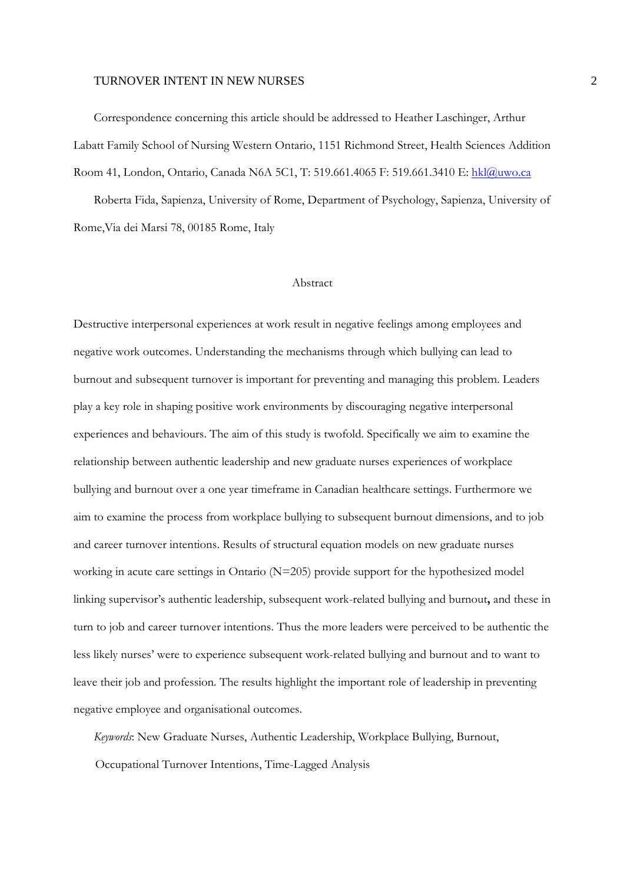Correspondence concerning this article should be addressed to Heather Laschinger, Arthur Labatt Family School of Nursing Western Ontario, 1151 Richmond Street, Health Sciences Addition Room 41, London, Ontario, Canada N6A 5C1, T: 519.661.4065 F: 519.661.3410 E: hkl@uwo.ca

Roberta Fida, Sapienza, University of Rome, Department of Psychology, Sapienza, University of Rome,Via dei Marsi 78, 00185 Rome, Italy

### Abstract

Destructive interpersonal experiences at work result in negative feelings among employees and negative work outcomes. Understanding the mechanisms through which bullying can lead to burnout and subsequent turnover is important for preventing and managing this problem. Leaders play a key role in shaping positive work environments by discouraging negative interpersonal experiences and behaviours. The aim of this study is twofold. Specifically we aim to examine the relationship between authentic leadership and new graduate nurses experiences of workplace bullying and burnout over a one year timeframe in Canadian healthcare settings. Furthermore we aim to examine the process from workplace bullying to subsequent burnout dimensions, and to job and career turnover intentions. Results of structural equation models on new graduate nurses working in acute care settings in Ontario (N=205) provide support for the hypothesized model linking supervisor's authentic leadership, subsequent work-related bullying and burnout**,** and these in turn to job and career turnover intentions. Thus the more leaders were perceived to be authentic the less likely nurses' were to experience subsequent work-related bullying and burnout and to want to leave their job and profession. The results highlight the important role of leadership in preventing negative employee and organisational outcomes.

*Keywords*: New Graduate Nurses, Authentic Leadership, Workplace Bullying, Burnout,

Occupational Turnover Intentions, Time-Lagged Analysis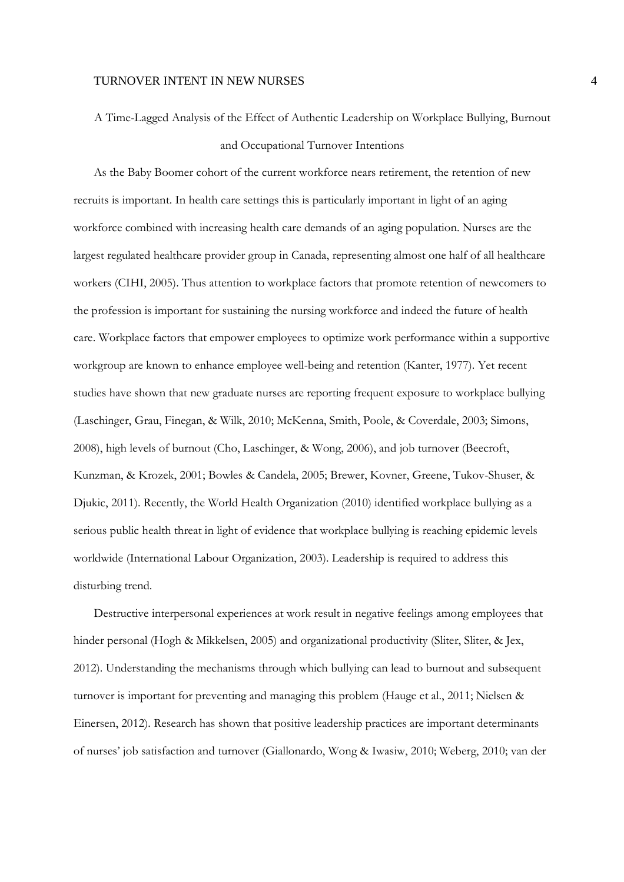A Time-Lagged Analysis of the Effect of Authentic Leadership on Workplace Bullying, Burnout and Occupational Turnover Intentions

As the Baby Boomer cohort of the current workforce nears retirement, the retention of new recruits is important. In health care settings this is particularly important in light of an aging workforce combined with increasing health care demands of an aging population. Nurses are the largest regulated healthcare provider group in Canada, representing almost one half of all healthcare workers (CIHI, 2005). Thus attention to workplace factors that promote retention of newcomers to the profession is important for sustaining the nursing workforce and indeed the future of health care. Workplace factors that empower employees to optimize work performance within a supportive workgroup are known to enhance employee well-being and retention (Kanter, 1977). Yet recent studies have shown that new graduate nurses are reporting frequent exposure to workplace bullying (Laschinger, Grau, Finegan, & Wilk, 2010; McKenna, Smith, Poole, & Coverdale, 2003; Simons, 2008), high levels of burnout (Cho, Laschinger, & Wong, 2006), and job turnover (Beecroft, Kunzman, & Krozek, 2001; Bowles & Candela, 2005; Brewer, Kovner, Greene, Tukov-Shuser, & Djukic, 2011). Recently, the World Health Organization (2010) identified workplace bullying as a serious public health threat in light of evidence that workplace bullying is reaching epidemic levels worldwide (International Labour Organization, 2003). Leadership is required to address this disturbing trend.

Destructive interpersonal experiences at work result in negative feelings among employees that hinder personal (Hogh & Mikkelsen, 2005) and organizational productivity (Sliter, Sliter, & Jex, 2012). Understanding the mechanisms through which bullying can lead to burnout and subsequent turnover is important for preventing and managing this problem (Hauge et al., 2011; Nielsen & Einersen, 2012). Research has shown that positive leadership practices are important determinants of nurses' job satisfaction and turnover (Giallonardo, Wong & Iwasiw, 2010; Weberg, 2010; van der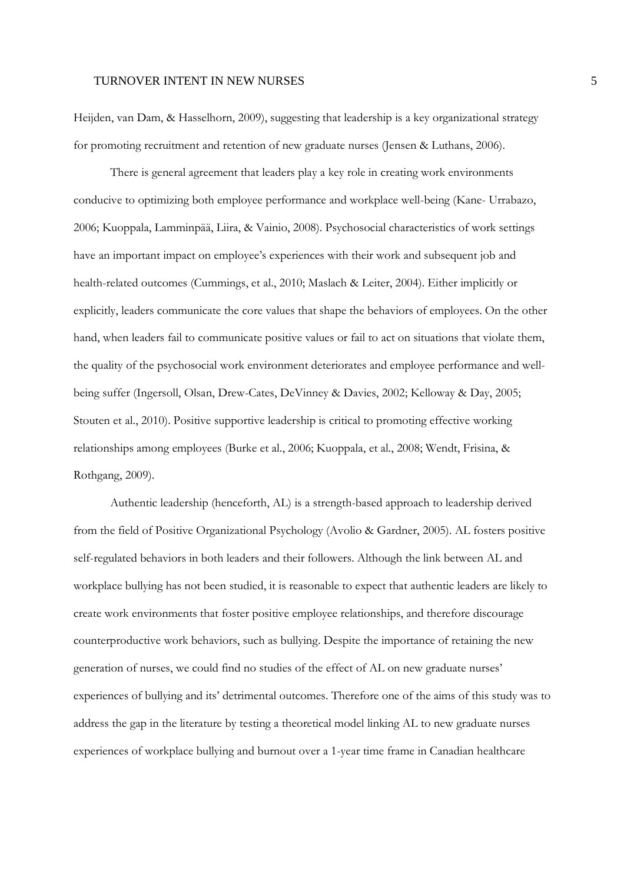Heijden, van Dam, & Hasselhorn, 2009), suggesting that leadership is a key organizational strategy for promoting recruitment and retention of new graduate nurses (Jensen & Luthans, 2006).

There is general agreement that leaders play a key role in creating work environments conducive to optimizing both employee performance and workplace well-being (Kane- Urrabazo, 2006; Kuoppala, Lamminpää, Liira, & Vainio, 2008). Psychosocial characteristics of work settings have an important impact on employee's experiences with their work and subsequent job and health-related outcomes (Cummings, et al., 2010; Maslach & Leiter, 2004). Either implicitly or explicitly, leaders communicate the core values that shape the behaviors of employees. On the other hand, when leaders fail to communicate positive values or fail to act on situations that violate them, the quality of the psychosocial work environment deteriorates and employee performance and wellbeing suffer (Ingersoll, Olsan, Drew-Cates, DeVinney & Davies, 2002; Kelloway & Day, 2005; Stouten et al., 2010). Positive supportive leadership is critical to promoting effective working relationships among employees (Burke et al., 2006; Kuoppala, et al., 2008; Wendt, Frisina, & Rothgang, 2009).

Authentic leadership (henceforth, AL) is a strength-based approach to leadership derived from the field of Positive Organizational Psychology (Avolio & Gardner, 2005). AL fosters positive self-regulated behaviors in both leaders and their followers. Although the link between AL and workplace bullying has not been studied, it is reasonable to expect that authentic leaders are likely to create work environments that foster positive employee relationships, and therefore discourage counterproductive work behaviors, such as bullying. Despite the importance of retaining the new generation of nurses, we could find no studies of the effect of AL on new graduate nurses' experiences of bullying and its' detrimental outcomes. Therefore one of the aims of this study was to address the gap in the literature by testing a theoretical model linking AL to new graduate nurses experiences of workplace bullying and burnout over a 1-year time frame in Canadian healthcare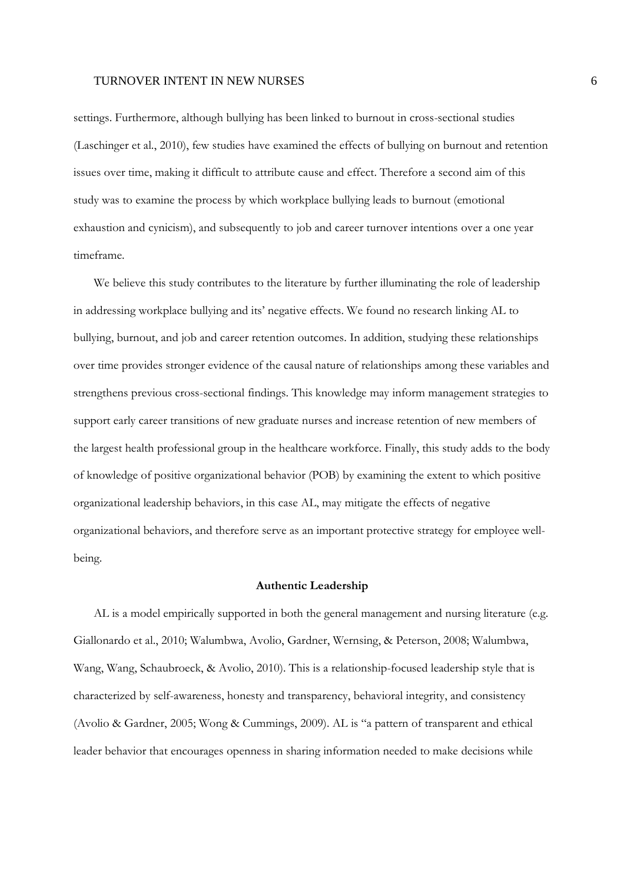settings. Furthermore, although bullying has been linked to burnout in cross-sectional studies (Laschinger et al., 2010), few studies have examined the effects of bullying on burnout and retention issues over time, making it difficult to attribute cause and effect. Therefore a second aim of this study was to examine the process by which workplace bullying leads to burnout (emotional exhaustion and cynicism), and subsequently to job and career turnover intentions over a one year timeframe.

We believe this study contributes to the literature by further illuminating the role of leadership in addressing workplace bullying and its' negative effects. We found no research linking AL to bullying, burnout, and job and career retention outcomes. In addition, studying these relationships over time provides stronger evidence of the causal nature of relationships among these variables and strengthens previous cross-sectional findings. This knowledge may inform management strategies to support early career transitions of new graduate nurses and increase retention of new members of the largest health professional group in the healthcare workforce. Finally, this study adds to the body of knowledge of positive organizational behavior (POB) by examining the extent to which positive organizational leadership behaviors, in this case AL, may mitigate the effects of negative organizational behaviors, and therefore serve as an important protective strategy for employee wellbeing.

#### **Authentic Leadership**

AL is a model empirically supported in both the general management and nursing literature (e.g. Giallonardo et al., 2010; Walumbwa, Avolio, Gardner, Wernsing, & Peterson, 2008; Walumbwa, Wang, Wang, Schaubroeck, & Avolio, 2010). This is a relationship-focused leadership style that is characterized by self-awareness, honesty and transparency, behavioral integrity, and consistency (Avolio & Gardner, 2005; Wong & Cummings, 2009). AL is "a pattern of transparent and ethical leader behavior that encourages openness in sharing information needed to make decisions while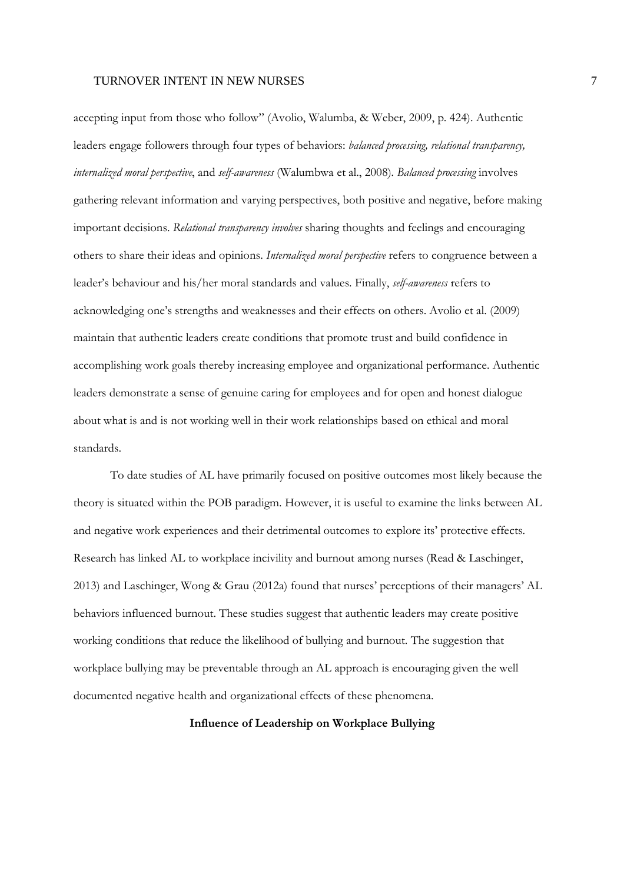accepting input from those who follow" (Avolio, Walumba, & Weber, 2009, p. 424). Authentic leaders engage followers through four types of behaviors: *balanced processing, relational transparency, internalized moral perspective*, and *self-awareness* (Walumbwa et al., 2008)*. Balanced processing* involves gathering relevant information and varying perspectives, both positive and negative, before making important decisions. *Relational transparency involves* sharing thoughts and feelings and encouraging others to share their ideas and opinions. *Internalized moral perspective* refers to congruence between a leader's behaviour and his/her moral standards and values. Finally, *self-awareness* refers to acknowledging one's strengths and weaknesses and their effects on others. Avolio et al. (2009) maintain that authentic leaders create conditions that promote trust and build confidence in accomplishing work goals thereby increasing employee and organizational performance. Authentic leaders demonstrate a sense of genuine caring for employees and for open and honest dialogue about what is and is not working well in their work relationships based on ethical and moral standards.

To date studies of AL have primarily focused on positive outcomes most likely because the theory is situated within the POB paradigm. However, it is useful to examine the links between AL and negative work experiences and their detrimental outcomes to explore its' protective effects. Research has linked AL to workplace incivility and burnout among nurses (Read & Laschinger, 2013) and Laschinger, Wong & Grau (2012a) found that nurses' perceptions of their managers' AL behaviors influenced burnout. These studies suggest that authentic leaders may create positive working conditions that reduce the likelihood of bullying and burnout. The suggestion that workplace bullying may be preventable through an AL approach is encouraging given the well documented negative health and organizational effects of these phenomena.

#### **Influence of Leadership on Workplace Bullying**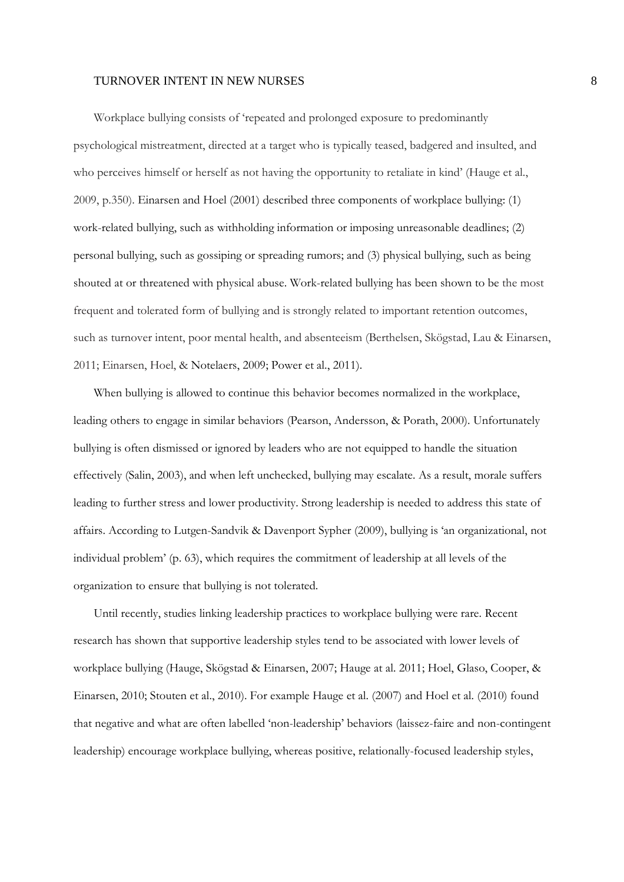Workplace bullying consists of 'repeated and prolonged exposure to predominantly psychological mistreatment, directed at a target who is typically teased, badgered and insulted, and who perceives himself or herself as not having the opportunity to retaliate in kind' (Hauge et al., 2009, p.350). Einarsen and Hoel (2001) described three components of workplace bullying: (1) work-related bullying, such as withholding information or imposing unreasonable deadlines; (2) personal bullying, such as gossiping or spreading rumors; and (3) physical bullying, such as being shouted at or threatened with physical abuse. Work-related bullying has been shown to be the most frequent and tolerated form of bullying and is strongly related to important retention outcomes, such as turnover intent, poor mental health, and absenteeism (Berthelsen, Skögstad, Lau & Einarsen, 2011; Einarsen, Hoel, & Notelaers, 2009; Power et al., 2011).

When bullying is allowed to continue this behavior becomes normalized in the workplace, leading others to engage in similar behaviors (Pearson, Andersson, & Porath, 2000). Unfortunately bullying is often dismissed or ignored by leaders who are not equipped to handle the situation effectively (Salin, 2003), and when left unchecked, bullying may escalate. As a result, morale suffers leading to further stress and lower productivity. Strong leadership is needed to address this state of affairs. According to Lutgen-Sandvik & Davenport Sypher (2009), bullying is 'an organizational, not individual problem' (p. 63), which requires the commitment of leadership at all levels of the organization to ensure that bullying is not tolerated.

Until recently, studies linking leadership practices to workplace bullying were rare. Recent research has shown that supportive leadership styles tend to be associated with lower levels of workplace bullying (Hauge, Skögstad & Einarsen, 2007; Hauge at al. 2011; Hoel, Glaso, Cooper, & Einarsen, 2010; Stouten et al., 2010). For example Hauge et al. (2007) and Hoel et al. (2010) found that negative and what are often labelled 'non-leadership' behaviors (laissez-faire and non-contingent leadership) encourage workplace bullying, whereas positive, relationally-focused leadership styles,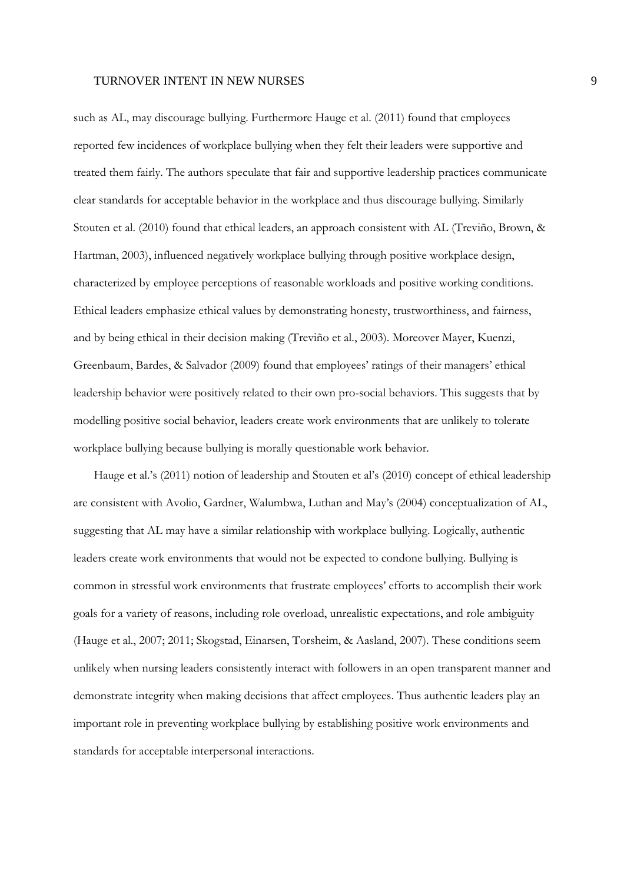such as AL, may discourage bullying. Furthermore Hauge et al. (2011) found that employees reported few incidences of workplace bullying when they felt their leaders were supportive and treated them fairly. The authors speculate that fair and supportive leadership practices communicate clear standards for acceptable behavior in the workplace and thus discourage bullying. Similarly Stouten et al. (2010) found that ethical leaders, an approach consistent with AL (Treviño, Brown, & Hartman, 2003), influenced negatively workplace bullying through positive workplace design, characterized by employee perceptions of reasonable workloads and positive working conditions. Ethical leaders emphasize ethical values by demonstrating honesty, trustworthiness, and fairness, and by being ethical in their decision making (Treviño et al., 2003). Moreover Mayer, Kuenzi, Greenbaum, Bardes, & Salvador (2009) found that employees' ratings of their managers' ethical leadership behavior were positively related to their own pro-social behaviors. This suggests that by modelling positive social behavior, leaders create work environments that are unlikely to tolerate workplace bullying because bullying is morally questionable work behavior.

Hauge et al.'s (2011) notion of leadership and Stouten et al's (2010) concept of ethical leadership are consistent with Avolio, Gardner, Walumbwa, Luthan and May's (2004) conceptualization of AL, suggesting that AL may have a similar relationship with workplace bullying. Logically, authentic leaders create work environments that would not be expected to condone bullying. Bullying is common in stressful work environments that frustrate employees' efforts to accomplish their work goals for a variety of reasons, including role overload, unrealistic expectations, and role ambiguity (Hauge et al., 2007; 2011; Skogstad, Einarsen, Torsheim, & Aasland, 2007). These conditions seem unlikely when nursing leaders consistently interact with followers in an open transparent manner and demonstrate integrity when making decisions that affect employees. Thus authentic leaders play an important role in preventing workplace bullying by establishing positive work environments and standards for acceptable interpersonal interactions.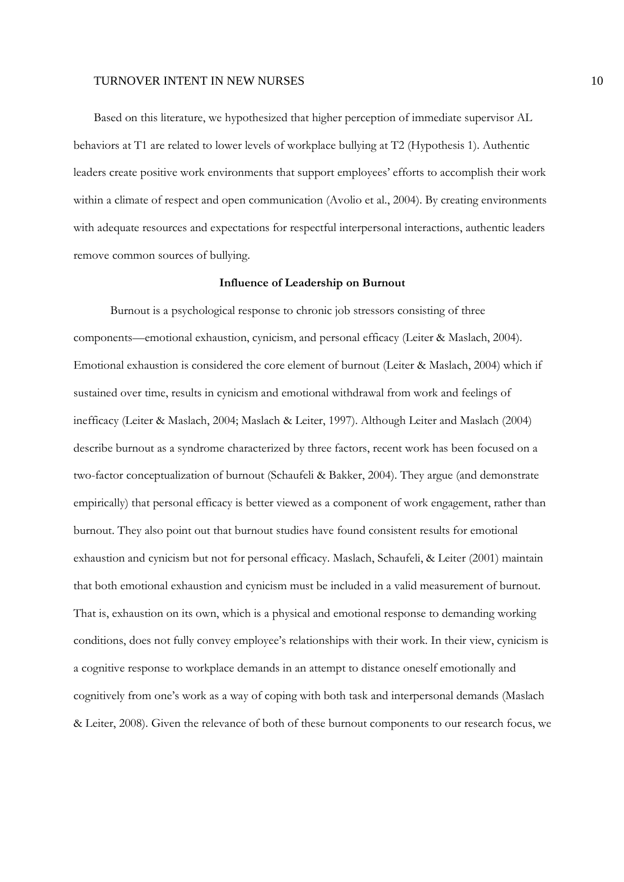Based on this literature, we hypothesized that higher perception of immediate supervisor AL behaviors at T1 are related to lower levels of workplace bullying at T2 (Hypothesis 1). Authentic leaders create positive work environments that support employees' efforts to accomplish their work within a climate of respect and open communication (Avolio et al., 2004). By creating environments with adequate resources and expectations for respectful interpersonal interactions, authentic leaders remove common sources of bullying.

#### **Influence of Leadership on Burnout**

Burnout is a psychological response to chronic job stressors consisting of three components—emotional exhaustion, cynicism, and personal efficacy (Leiter & Maslach, 2004). Emotional exhaustion is considered the core element of burnout (Leiter & Maslach, 2004) which if sustained over time, results in cynicism and emotional withdrawal from work and feelings of inefficacy (Leiter & Maslach, 2004; Maslach & Leiter, 1997). Although Leiter and Maslach (2004) describe burnout as a syndrome characterized by three factors, recent work has been focused on a two-factor conceptualization of burnout (Schaufeli & Bakker, 2004). They argue (and demonstrate empirically) that personal efficacy is better viewed as a component of work engagement, rather than burnout. They also point out that burnout studies have found consistent results for emotional exhaustion and cynicism but not for personal efficacy. Maslach, Schaufeli, & Leiter (2001) maintain that both emotional exhaustion and cynicism must be included in a valid measurement of burnout. That is, exhaustion on its own, which is a physical and emotional response to demanding working conditions, does not fully convey employee's relationships with their work. In their view, cynicism is a cognitive response to workplace demands in an attempt to distance oneself emotionally and cognitively from one's work as a way of coping with both task and interpersonal demands (Maslach & Leiter, 2008). Given the relevance of both of these burnout components to our research focus, we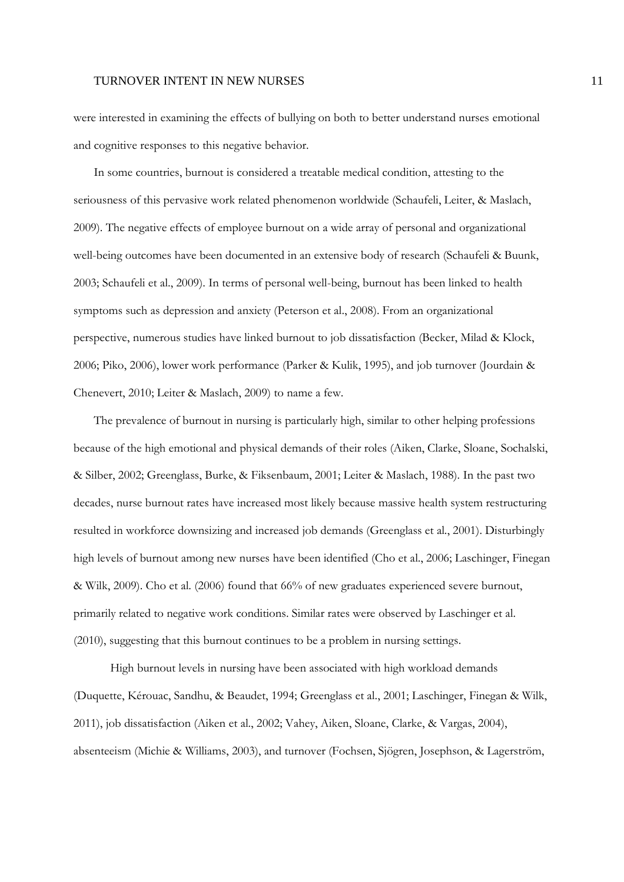were interested in examining the effects of bullying on both to better understand nurses emotional and cognitive responses to this negative behavior.

In some countries, burnout is considered a treatable medical condition, attesting to the seriousness of this pervasive work related phenomenon worldwide (Schaufeli, Leiter, & Maslach, 2009). The negative effects of employee burnout on a wide array of personal and organizational well-being outcomes have been documented in an extensive body of research (Schaufeli & Buunk, 2003; Schaufeli et al., 2009). In terms of personal well-being, burnout has been linked to health symptoms such as depression and anxiety (Peterson et al., 2008). From an organizational perspective, numerous studies have linked burnout to job dissatisfaction (Becker, Milad & Klock, 2006; Piko, 2006), lower work performance (Parker & Kulik, 1995), and job turnover (Jourdain & Chenevert, 2010; Leiter & Maslach, 2009) to name a few.

The prevalence of burnout in nursing is particularly high, similar to other helping professions because of the high emotional and physical demands of their roles (Aiken, Clarke, Sloane, Sochalski, & Silber, 2002; Greenglass, Burke, & Fiksenbaum, 2001; Leiter & Maslach, 1988). In the past two decades, nurse burnout rates have increased most likely because massive health system restructuring resulted in workforce downsizing and increased job demands (Greenglass et al., 2001). Disturbingly high levels of burnout among new nurses have been identified (Cho et al., 2006; Laschinger, Finegan & Wilk, 2009). Cho et al. (2006) found that 66% of new graduates experienced severe burnout, primarily related to negative work conditions. Similar rates were observed by Laschinger et al. (2010), suggesting that this burnout continues to be a problem in nursing settings.

High burnout levels in nursing have been associated with high workload demands (Duquette, Kérouac, Sandhu, & Beaudet, 1994; Greenglass et al., 2001; Laschinger, Finegan & Wilk, 2011), job dissatisfaction (Aiken et al., 2002; Vahey, Aiken, Sloane, Clarke, & Vargas, 2004), absenteeism (Michie & Williams, 2003), and turnover (Fochsen, Sjögren, Josephson, & Lagerström,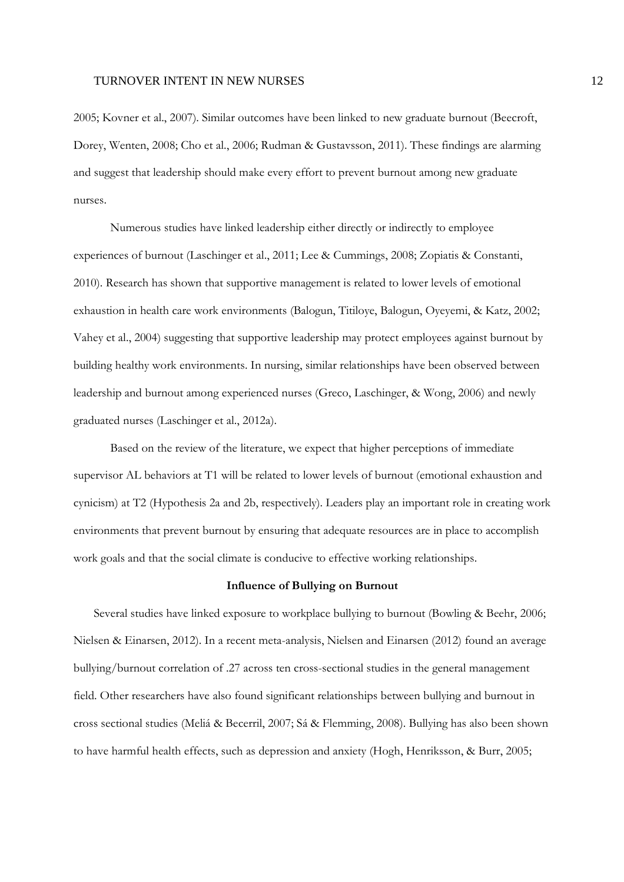2005; Kovner et al., 2007). Similar outcomes have been linked to new graduate burnout (Beecroft, Dorey, Wenten, 2008; Cho et al., 2006; Rudman & Gustavsson, 2011). These findings are alarming and suggest that leadership should make every effort to prevent burnout among new graduate nurses.

 Numerous studies have linked leadership either directly or indirectly to employee experiences of burnout (Laschinger et al., 2011; Lee & Cummings, 2008; Zopiatis & Constanti, 2010). Research has shown that supportive management is related to lower levels of emotional exhaustion in health care work environments (Balogun, Titiloye, Balogun, Oyeyemi, & Katz, 2002; Vahey et al., 2004) suggesting that supportive leadership may protect employees against burnout by building healthy work environments. In nursing, similar relationships have been observed between leadership and burnout among experienced nurses (Greco, Laschinger, & Wong, 2006) and newly graduated nurses (Laschinger et al., 2012a).

Based on the review of the literature, we expect that higher perceptions of immediate supervisor AL behaviors at T1 will be related to lower levels of burnout (emotional exhaustion and cynicism) at T2 (Hypothesis 2a and 2b, respectively). Leaders play an important role in creating work environments that prevent burnout by ensuring that adequate resources are in place to accomplish work goals and that the social climate is conducive to effective working relationships.

#### **Influence of Bullying on Burnout**

Several studies have linked exposure to workplace bullying to burnout (Bowling & Beehr, 2006; Nielsen & Einarsen, 2012). In a recent meta-analysis, Nielsen and Einarsen (2012) found an average bullying/burnout correlation of .27 across ten cross-sectional studies in the general management field. Other researchers have also found significant relationships between bullying and burnout in cross sectional studies (Meliá & Becerril, 2007; Sá & Flemming, 2008). Bullying has also been shown to have harmful health effects, such as depression and anxiety (Hogh, Henriksson, & Burr, 2005;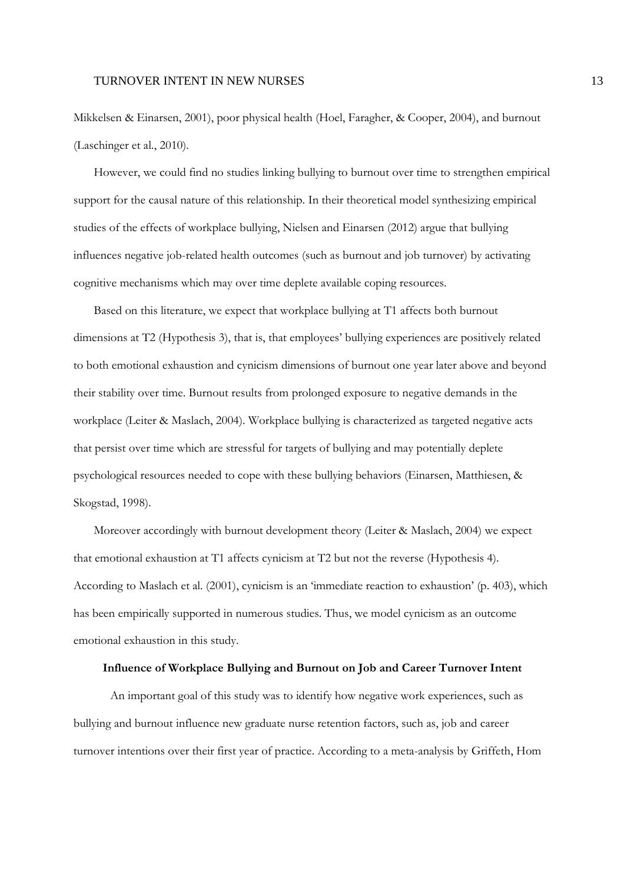Mikkelsen & Einarsen, 2001), poor physical health (Hoel, Faragher, & Cooper, 2004), and burnout (Laschinger et al., 2010).

However, we could find no studies linking bullying to burnout over time to strengthen empirical support for the causal nature of this relationship. In their theoretical model synthesizing empirical studies of the effects of workplace bullying, Nielsen and Einarsen (2012) argue that bullying influences negative job-related health outcomes (such as burnout and job turnover) by activating cognitive mechanisms which may over time deplete available coping resources.

Based on this literature, we expect that workplace bullying at T1 affects both burnout dimensions at T2 (Hypothesis 3), that is, that employees' bullying experiences are positively related to both emotional exhaustion and cynicism dimensions of burnout one year later above and beyond their stability over time. Burnout results from prolonged exposure to negative demands in the workplace (Leiter & Maslach, 2004). Workplace bullying is characterized as targeted negative acts that persist over time which are stressful for targets of bullying and may potentially deplete psychological resources needed to cope with these bullying behaviors (Einarsen, Matthiesen, & Skogstad, 1998).

Moreover accordingly with burnout development theory (Leiter & Maslach, 2004) we expect that emotional exhaustion at T1 affects cynicism at T2 but not the reverse (Hypothesis 4). According to Maslach et al. (2001), cynicism is an 'immediate reaction to exhaustion' (p. 403), which has been empirically supported in numerous studies. Thus, we model cynicism as an outcome emotional exhaustion in this study.

#### **Influence of Workplace Bullying and Burnout on Job and Career Turnover Intent**

An important goal of this study was to identify how negative work experiences, such as bullying and burnout influence new graduate nurse retention factors, such as, job and career turnover intentions over their first year of practice. According to a meta-analysis by Griffeth, Hom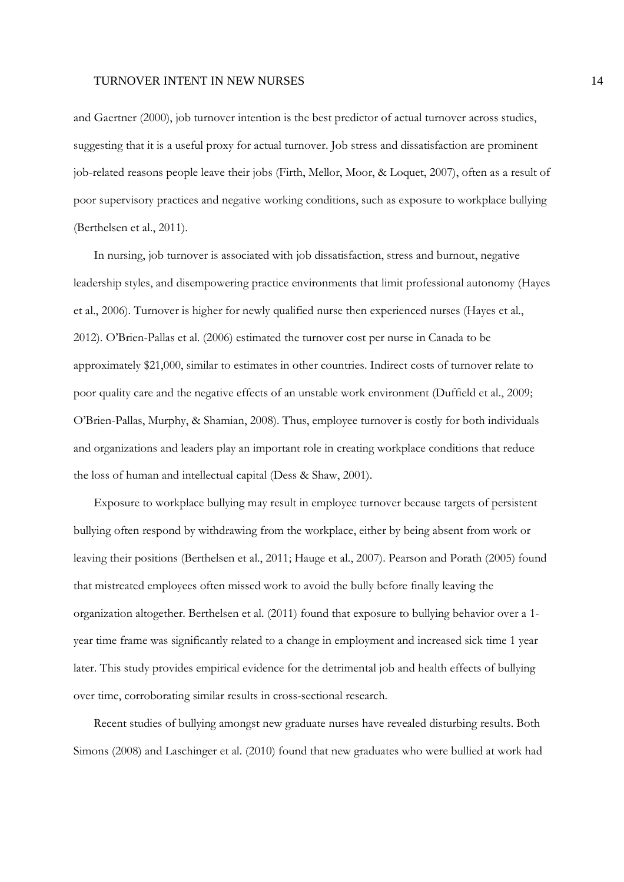and Gaertner (2000), job turnover intention is the best predictor of actual turnover across studies, suggesting that it is a useful proxy for actual turnover. Job stress and dissatisfaction are prominent job-related reasons people leave their jobs (Firth, Mellor, Moor, & Loquet, 2007), often as a result of poor supervisory practices and negative working conditions, such as exposure to workplace bullying (Berthelsen et al., 2011).

In nursing, job turnover is associated with job dissatisfaction, stress and burnout, negative leadership styles, and disempowering practice environments that limit professional autonomy (Hayes et al., 2006). Turnover is higher for newly qualified nurse then experienced nurses (Hayes et al., 2012). O'Brien-Pallas et al. (2006) estimated the turnover cost per nurse in Canada to be approximately \$21,000, similar to estimates in other countries. Indirect costs of turnover relate to poor quality care and the negative effects of an unstable work environment (Duffield et al., 2009; O'Brien-Pallas, Murphy, & Shamian, 2008). Thus, employee turnover is costly for both individuals and organizations and leaders play an important role in creating workplace conditions that reduce the loss of human and intellectual capital (Dess & Shaw, 2001).

Exposure to workplace bullying may result in employee turnover because targets of persistent bullying often respond by withdrawing from the workplace, either by being absent from work or leaving their positions (Berthelsen et al., 2011; Hauge et al., 2007). Pearson and Porath (2005) found that mistreated employees often missed work to avoid the bully before finally leaving the organization altogether. Berthelsen et al. (2011) found that exposure to bullying behavior over a 1 year time frame was significantly related to a change in employment and increased sick time 1 year later. This study provides empirical evidence for the detrimental job and health effects of bullying over time, corroborating similar results in cross-sectional research.

Recent studies of bullying amongst new graduate nurses have revealed disturbing results. Both Simons (2008) and Laschinger et al. (2010) found that new graduates who were bullied at work had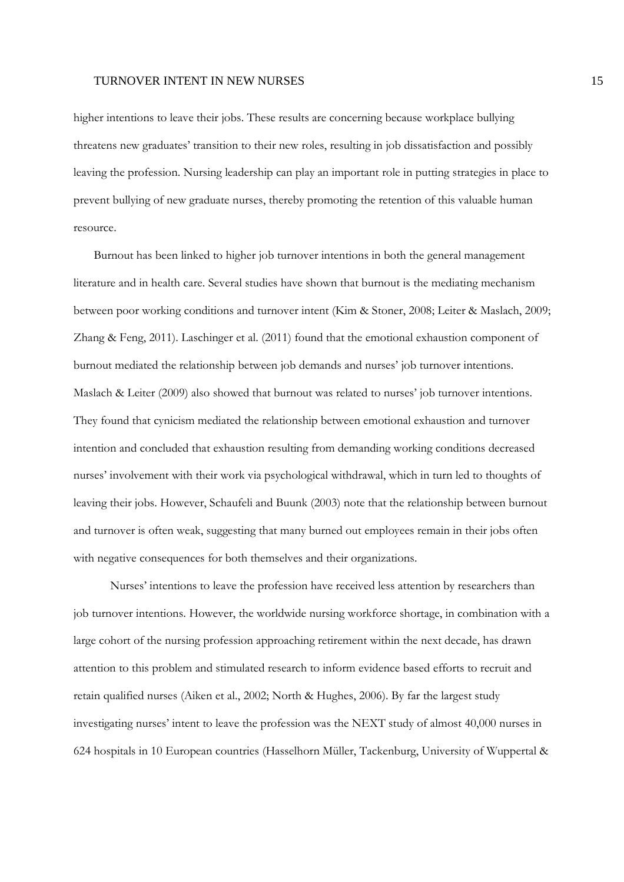higher intentions to leave their jobs. These results are concerning because workplace bullying threatens new graduates' transition to their new roles, resulting in job dissatisfaction and possibly leaving the profession. Nursing leadership can play an important role in putting strategies in place to prevent bullying of new graduate nurses, thereby promoting the retention of this valuable human resource.

Burnout has been linked to higher job turnover intentions in both the general management literature and in health care. Several studies have shown that burnout is the mediating mechanism between poor working conditions and turnover intent (Kim & Stoner, 2008; Leiter & Maslach, 2009; Zhang & Feng, 2011). Laschinger et al. (2011) found that the emotional exhaustion component of burnout mediated the relationship between job demands and nurses' job turnover intentions. Maslach & Leiter (2009) also showed that burnout was related to nurses' job turnover intentions. They found that cynicism mediated the relationship between emotional exhaustion and turnover intention and concluded that exhaustion resulting from demanding working conditions decreased nurses' involvement with their work via psychological withdrawal, which in turn led to thoughts of leaving their jobs. However, Schaufeli and Buunk (2003) note that the relationship between burnout and turnover is often weak, suggesting that many burned out employees remain in their jobs often with negative consequences for both themselves and their organizations.

Nurses' intentions to leave the profession have received less attention by researchers than job turnover intentions. However, the worldwide nursing workforce shortage, in combination with a large cohort of the nursing profession approaching retirement within the next decade, has drawn attention to this problem and stimulated research to inform evidence based efforts to recruit and retain qualified nurses (Aiken et al., 2002; North & Hughes, 2006). By far the largest study investigating nurses' intent to leave the profession was the NEXT study of almost 40,000 nurses in 624 hospitals in 10 European countries (Hasselhorn Müller, Tackenburg, University of Wuppertal &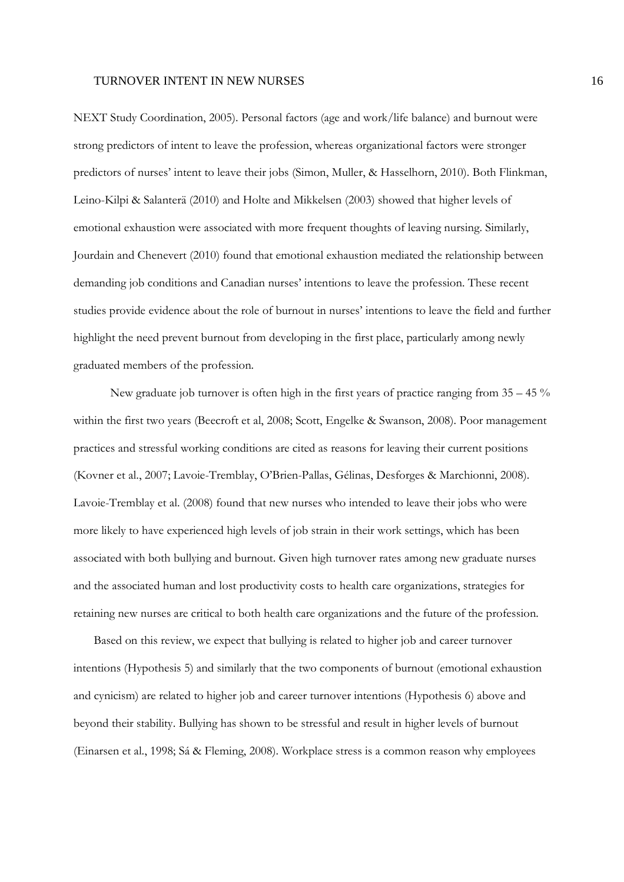NEXT Study Coordination, 2005). Personal factors (age and work/life balance) and burnout were strong predictors of intent to leave the profession, whereas organizational factors were stronger predictors of nurses' intent to leave their jobs (Simon, Muller, & Hasselhorn, 2010). Both Flinkman, Leino-Kilpi & Salanterä (2010) and Holte and Mikkelsen (2003) showed that higher levels of emotional exhaustion were associated with more frequent thoughts of leaving nursing. Similarly, Jourdain and Chenevert (2010) found that emotional exhaustion mediated the relationship between demanding job conditions and Canadian nurses' intentions to leave the profession. These recent studies provide evidence about the role of burnout in nurses' intentions to leave the field and further highlight the need prevent burnout from developing in the first place, particularly among newly graduated members of the profession.

New graduate job turnover is often high in the first years of practice ranging from  $35 - 45\%$ within the first two years (Beecroft et al, 2008; Scott, Engelke & Swanson, 2008). Poor management practices and stressful working conditions are cited as reasons for leaving their current positions (Kovner et al., 2007; Lavoie-Tremblay, O'Brien-Pallas, Gélinas, Desforges & Marchionni, 2008). Lavoie-Tremblay et al. (2008) found that new nurses who intended to leave their jobs who were more likely to have experienced high levels of job strain in their work settings, which has been associated with both bullying and burnout. Given high turnover rates among new graduate nurses and the associated human and lost productivity costs to health care organizations, strategies for retaining new nurses are critical to both health care organizations and the future of the profession.

Based on this review, we expect that bullying is related to higher job and career turnover intentions (Hypothesis 5) and similarly that the two components of burnout (emotional exhaustion and cynicism) are related to higher job and career turnover intentions (Hypothesis 6) above and beyond their stability. Bullying has shown to be stressful and result in higher levels of burnout (Einarsen et al., 1998; Sá & Fleming, 2008). Workplace stress is a common reason why employees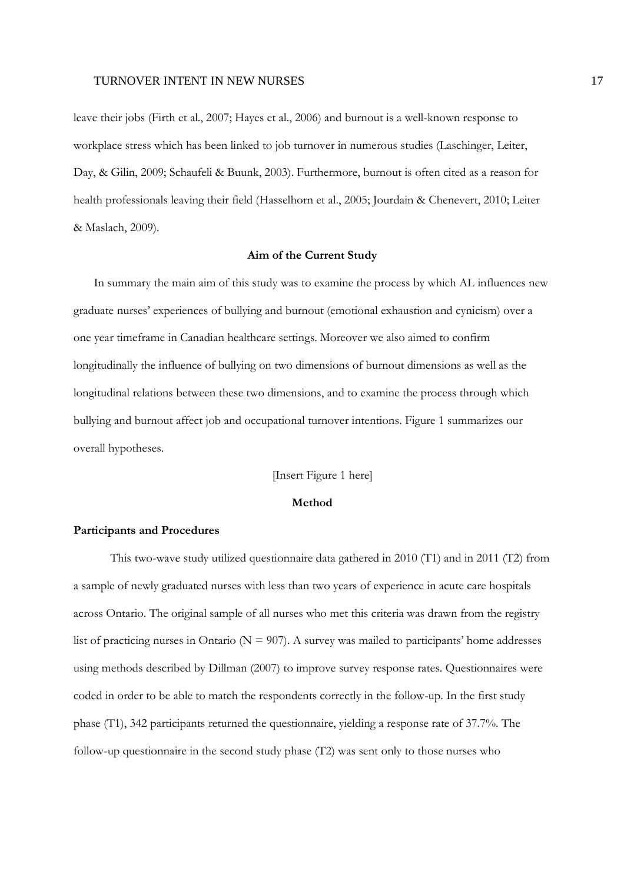leave their jobs (Firth et al., 2007; Hayes et al., 2006) and burnout is a well-known response to workplace stress which has been linked to job turnover in numerous studies (Laschinger, Leiter, Day, & Gilin, 2009; Schaufeli & Buunk, 2003). Furthermore, burnout is often cited as a reason for health professionals leaving their field (Hasselhorn et al., 2005; Jourdain & Chenevert, 2010; Leiter & Maslach, 2009).

### **Aim of the Current Study**

In summary the main aim of this study was to examine the process by which AL influences new graduate nurses' experiences of bullying and burnout (emotional exhaustion and cynicism) over a one year timeframe in Canadian healthcare settings. Moreover we also aimed to confirm longitudinally the influence of bullying on two dimensions of burnout dimensions as well as the longitudinal relations between these two dimensions, and to examine the process through which bullying and burnout affect job and occupational turnover intentions. Figure 1 summarizes our overall hypotheses.

[Insert Figure 1 here]

### **Method**

#### **Participants and Procedures**

This two-wave study utilized questionnaire data gathered in 2010 (T1) and in 2011 (T2) from a sample of newly graduated nurses with less than two years of experience in acute care hospitals across Ontario. The original sample of all nurses who met this criteria was drawn from the registry list of practicing nurses in Ontario ( $N = 907$ ). A survey was mailed to participants' home addresses using methods described by Dillman (2007) to improve survey response rates. Questionnaires were coded in order to be able to match the respondents correctly in the follow-up. In the first study phase (T1), 342 participants returned the questionnaire, yielding a response rate of 37.7%. The follow-up questionnaire in the second study phase (T2) was sent only to those nurses who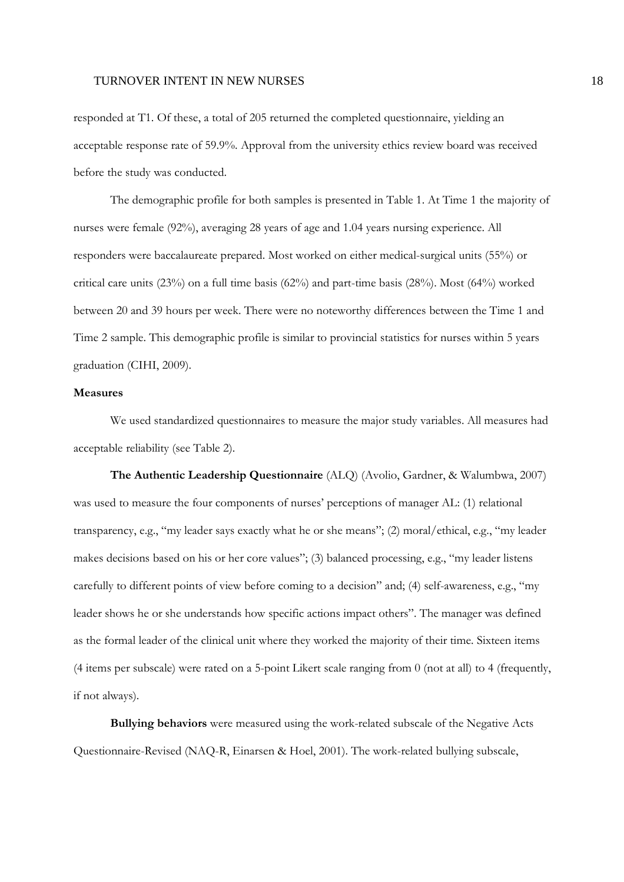responded at T1. Of these, a total of 205 returned the completed questionnaire, yielding an acceptable response rate of 59.9%. Approval from the university ethics review board was received before the study was conducted.

The demographic profile for both samples is presented in Table 1. At Time 1 the majority of nurses were female (92%), averaging 28 years of age and 1.04 years nursing experience. All responders were baccalaureate prepared. Most worked on either medical-surgical units (55%) or critical care units (23%) on a full time basis (62%) and part-time basis (28%). Most (64%) worked between 20 and 39 hours per week. There were no noteworthy differences between the Time 1 and Time 2 sample. This demographic profile is similar to provincial statistics for nurses within 5 years graduation (CIHI, 2009).

### **Measures**

We used standardized questionnaires to measure the major study variables. All measures had acceptable reliability (see Table 2).

**The Authentic Leadership Questionnaire** (ALQ) (Avolio, Gardner, & Walumbwa, 2007) was used to measure the four components of nurses' perceptions of manager AL: (1) relational transparency, e.g., "my leader says exactly what he or she means"; (2) moral/ethical, e.g., "my leader makes decisions based on his or her core values"; (3) balanced processing, e.g., "my leader listens carefully to different points of view before coming to a decision" and; (4) self-awareness, e.g., "my leader shows he or she understands how specific actions impact others". The manager was defined as the formal leader of the clinical unit where they worked the majority of their time. Sixteen items (4 items per subscale) were rated on a 5-point Likert scale ranging from 0 (not at all) to 4 (frequently, if not always).

**Bullying behaviors** were measured using the work-related subscale of the Negative Acts Questionnaire-Revised (NAQ-R, Einarsen & Hoel, 2001). The work-related bullying subscale,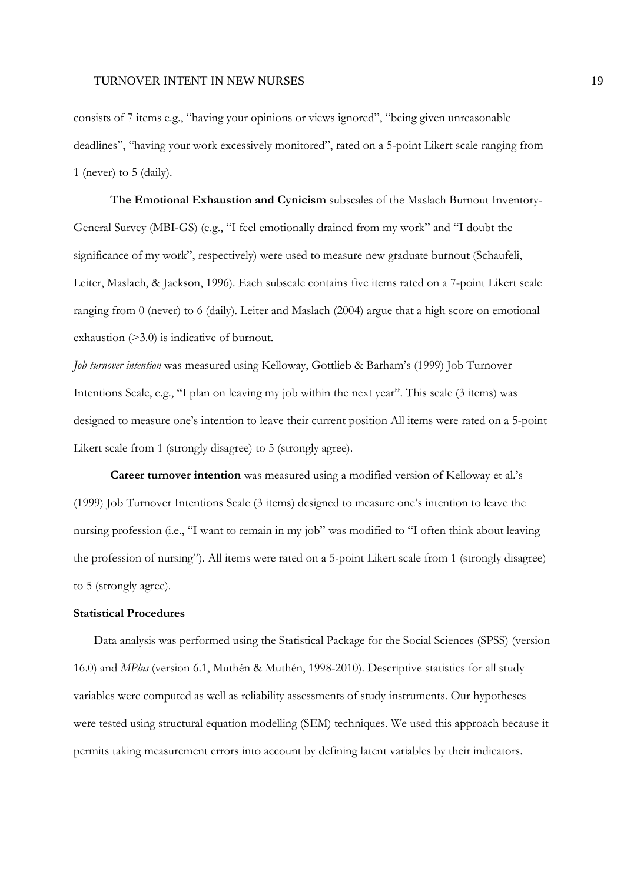consists of 7 items e.g., "having your opinions or views ignored", "being given unreasonable deadlines", "having your work excessively monitored", rated on a 5-point Likert scale ranging from 1 (never) to 5 (daily).

**The Emotional Exhaustion and Cynicism** subscales of the Maslach Burnout Inventory-General Survey (MBI-GS) (e.g., "I feel emotionally drained from my work" and "I doubt the significance of my work", respectively) were used to measure new graduate burnout (Schaufeli, Leiter, Maslach, & Jackson, 1996). Each subscale contains five items rated on a 7-point Likert scale ranging from 0 (never) to 6 (daily). Leiter and Maslach (2004) argue that a high score on emotional exhaustion (>3.0) is indicative of burnout.

*Job turnover intention* was measured using Kelloway, Gottlieb & Barham's (1999) Job Turnover Intentions Scale, e.g., "I plan on leaving my job within the next year". This scale (3 items) was designed to measure one's intention to leave their current position All items were rated on a 5-point Likert scale from 1 (strongly disagree) to 5 (strongly agree).

**Career turnover intention** was measured using a modified version of Kelloway et al.'s (1999) Job Turnover Intentions Scale (3 items) designed to measure one's intention to leave the nursing profession (i.e., "I want to remain in my job" was modified to "I often think about leaving the profession of nursing"). All items were rated on a 5-point Likert scale from 1 (strongly disagree) to 5 (strongly agree).

### **Statistical Procedures**

Data analysis was performed using the Statistical Package for the Social Sciences (SPSS) (version 16.0) and *MPlus* (version 6.1, Muthén & Muthén, 1998-2010). Descriptive statistics for all study variables were computed as well as reliability assessments of study instruments. Our hypotheses were tested using structural equation modelling (SEM) techniques. We used this approach because it permits taking measurement errors into account by defining latent variables by their indicators.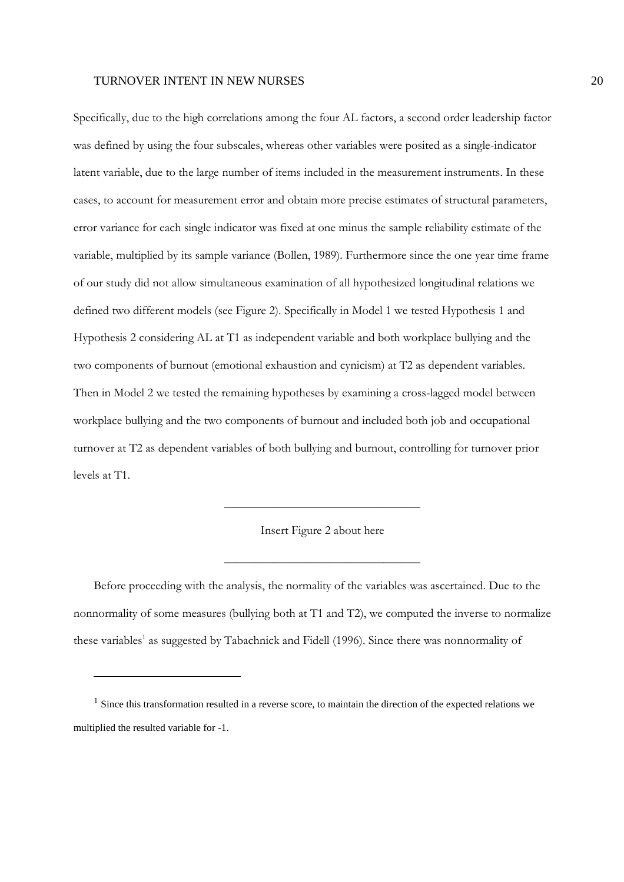Specifically, due to the high correlations among the four AL factors, a second order leadership factor was defined by using the four subscales, whereas other variables were posited as a single-indicator latent variable, due to the large number of items included in the measurement instruments. In these cases, to account for measurement error and obtain more precise estimates of structural parameters, error variance for each single indicator was fixed at one minus the sample reliability estimate of the variable, multiplied by its sample variance (Bollen, 1989). Furthermore since the one year time frame of our study did not allow simultaneous examination of all hypothesized longitudinal relations we defined two different models (see Figure 2). Specifically in Model 1 we tested Hypothesis 1 and Hypothesis 2 considering AL at T1 as independent variable and both workplace bullying and the two components of burnout (emotional exhaustion and cynicism) at T2 as dependent variables. Then in Model 2 we tested the remaining hypotheses by examining a cross-lagged model between workplace bullying and the two components of burnout and included both job and occupational turnover at T2 as dependent variables of both bullying and burnout, controlling for turnover prior levels at T1.

Insert Figure 2 about here

\_\_\_\_\_\_\_\_\_\_\_\_\_\_\_\_\_\_\_\_\_\_\_\_\_\_\_\_\_\_\_\_

\_\_\_\_\_\_\_\_\_\_\_\_\_\_\_\_\_\_\_\_\_\_\_\_\_\_\_\_\_\_\_\_

Before proceeding with the analysis, the normality of the variables was ascertained. Due to the nonnormality of some measures (bullying both at T1 and T2), we computed the inverse to normalize these variables<sup>1</sup> as suggested by Tabachnick and Fidell (1996). Since there was nonnormality of

<sup>&</sup>lt;sup>1</sup> Since this transformation resulted in a reverse score, to maintain the direction of the expected relations we multiplied the resulted variable for -1.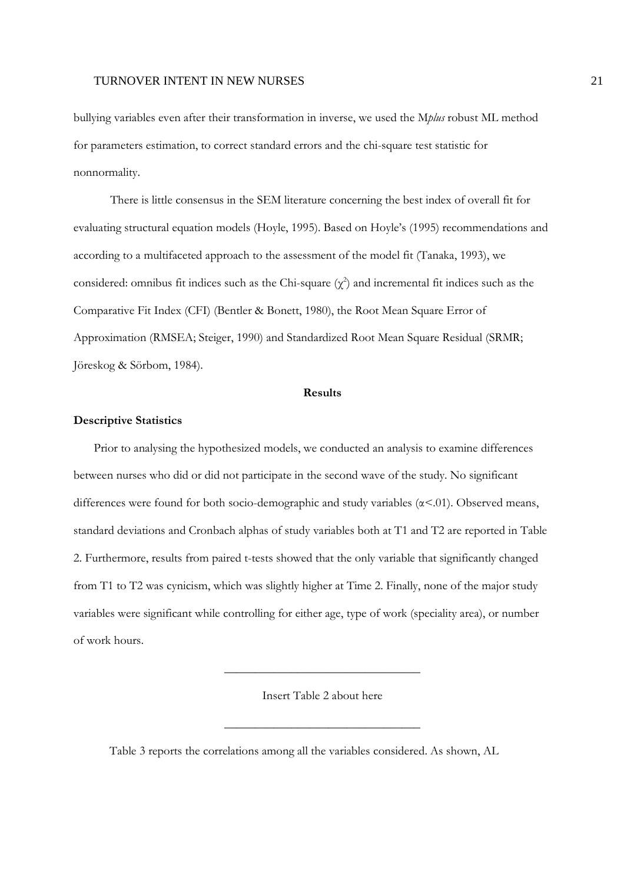bullying variables even after their transformation in inverse, we used the M*plus* robust ML method for parameters estimation, to correct standard errors and the chi-square test statistic for nonnormality.

There is little consensus in the SEM literature concerning the best index of overall fit for evaluating structural equation models (Hoyle, 1995). Based on Hoyle's (1995) recommendations and according to a multifaceted approach to the assessment of the model fit (Tanaka, 1993), we considered: omnibus fit indices such as the Chi-square  $(\chi^2)$  and incremental fit indices such as the Comparative Fit Index (CFI) (Bentler & Bonett, 1980), the Root Mean Square Error of Approximation (RMSEA; Steiger, 1990) and Standardized Root Mean Square Residual (SRMR; Jöreskog & Sörbom, 1984).

#### **Results**

#### **Descriptive Statistics**

Prior to analysing the hypothesized models, we conducted an analysis to examine differences between nurses who did or did not participate in the second wave of the study. No significant differences were found for both socio-demographic and study variables (α<.01). Observed means, standard deviations and Cronbach alphas of study variables both at T1 and T2 are reported in Table 2. Furthermore, results from paired t-tests showed that the only variable that significantly changed from T1 to T2 was cynicism, which was slightly higher at Time 2. Finally, none of the major study variables were significant while controlling for either age, type of work (speciality area), or number of work hours.

Insert Table 2 about here

\_\_\_\_\_\_\_\_\_\_\_\_\_\_\_\_\_\_\_\_\_\_\_\_\_\_\_\_\_\_\_\_

\_\_\_\_\_\_\_\_\_\_\_\_\_\_\_\_\_\_\_\_\_\_\_\_\_\_\_\_\_\_\_\_

Table 3 reports the correlations among all the variables considered. As shown, AL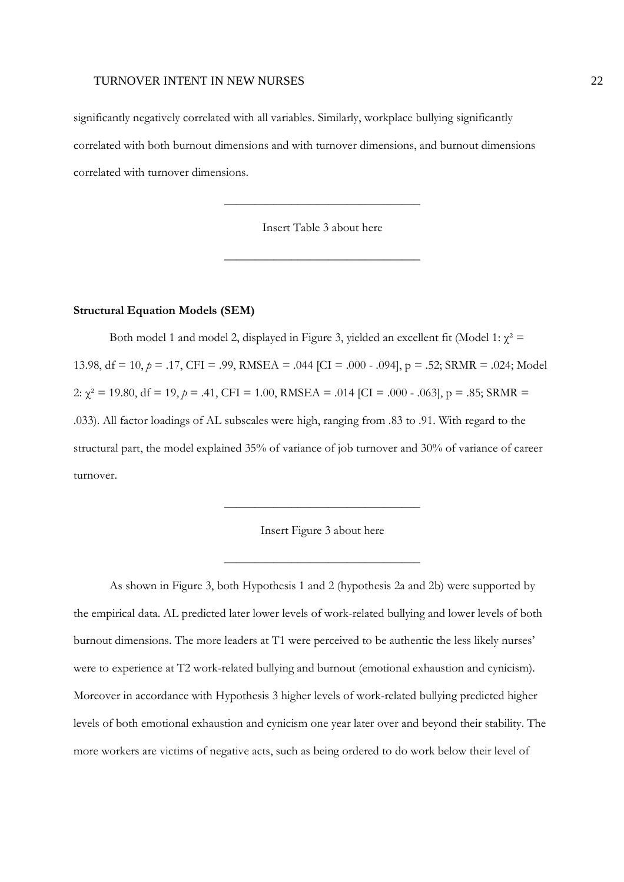significantly negatively correlated with all variables. Similarly, workplace bullying significantly correlated with both burnout dimensions and with turnover dimensions, and burnout dimensions correlated with turnover dimensions.

Insert Table 3 about here

\_\_\_\_\_\_\_\_\_\_\_\_\_\_\_\_\_\_\_\_\_\_\_\_\_\_\_\_\_\_\_\_

\_\_\_\_\_\_\_\_\_\_\_\_\_\_\_\_\_\_\_\_\_\_\_\_\_\_\_\_\_\_\_\_

#### **Structural Equation Models (SEM)**

Both model 1 and model 2, displayed in Figure 3, yielded an excellent fit (Model 1:  $\chi^2$  = 13.98, df = 10, *p* = .17, CFI = .99, RMSEA = .044 [CI = .000 - .094], p = .52; SRMR = .024; Model 2:  $\chi^2 = 19.80$ , df = 19, p = .41, CFI = 1.00, RMSEA = .014 [CI = .000 - .063], p = .85; SRMR = .033). All factor loadings of AL subscales were high, ranging from .83 to .91. With regard to the structural part, the model explained 35% of variance of job turnover and 30% of variance of career turnover.



\_\_\_\_\_\_\_\_\_\_\_\_\_\_\_\_\_\_\_\_\_\_\_\_\_\_\_\_\_\_\_\_

\_\_\_\_\_\_\_\_\_\_\_\_\_\_\_\_\_\_\_\_\_\_\_\_\_\_\_\_\_\_\_\_

As shown in Figure 3, both Hypothesis 1 and 2 (hypothesis 2a and 2b) were supported by the empirical data. AL predicted later lower levels of work-related bullying and lower levels of both burnout dimensions. The more leaders at T1 were perceived to be authentic the less likely nurses' were to experience at T2 work-related bullying and burnout (emotional exhaustion and cynicism). Moreover in accordance with Hypothesis 3 higher levels of work-related bullying predicted higher levels of both emotional exhaustion and cynicism one year later over and beyond their stability. The more workers are victims of negative acts, such as being ordered to do work below their level of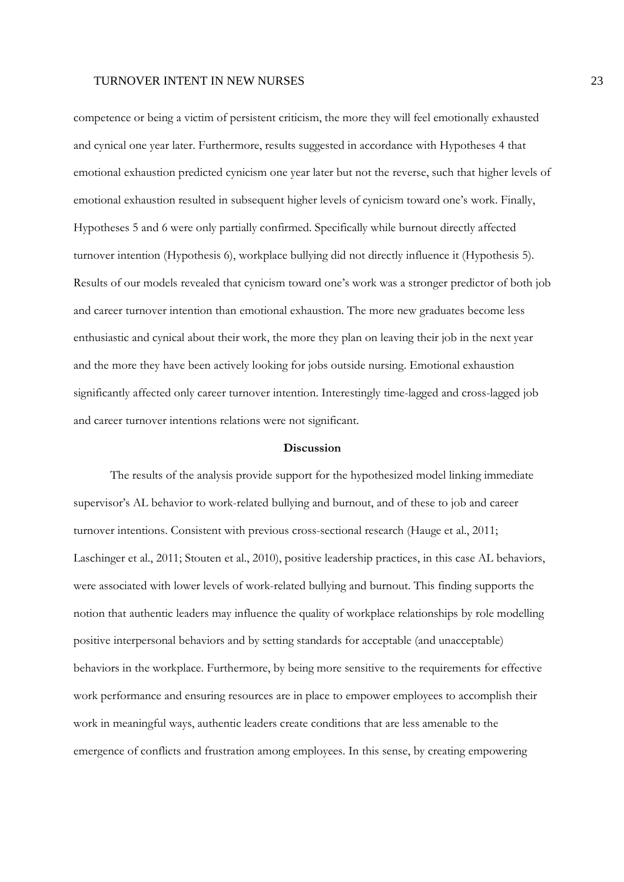competence or being a victim of persistent criticism, the more they will feel emotionally exhausted and cynical one year later. Furthermore, results suggested in accordance with Hypotheses 4 that emotional exhaustion predicted cynicism one year later but not the reverse, such that higher levels of emotional exhaustion resulted in subsequent higher levels of cynicism toward one's work. Finally, Hypotheses 5 and 6 were only partially confirmed. Specifically while burnout directly affected turnover intention (Hypothesis 6), workplace bullying did not directly influence it (Hypothesis 5). Results of our models revealed that cynicism toward one's work was a stronger predictor of both job and career turnover intention than emotional exhaustion. The more new graduates become less enthusiastic and cynical about their work, the more they plan on leaving their job in the next year and the more they have been actively looking for jobs outside nursing. Emotional exhaustion significantly affected only career turnover intention. Interestingly time-lagged and cross-lagged job and career turnover intentions relations were not significant.

#### **Discussion**

 The results of the analysis provide support for the hypothesized model linking immediate supervisor's AL behavior to work-related bullying and burnout, and of these to job and career turnover intentions. Consistent with previous cross-sectional research (Hauge et al., 2011; Laschinger et al., 2011; Stouten et al., 2010), positive leadership practices, in this case AL behaviors, were associated with lower levels of work-related bullying and burnout. This finding supports the notion that authentic leaders may influence the quality of workplace relationships by role modelling positive interpersonal behaviors and by setting standards for acceptable (and unacceptable) behaviors in the workplace. Furthermore, by being more sensitive to the requirements for effective work performance and ensuring resources are in place to empower employees to accomplish their work in meaningful ways, authentic leaders create conditions that are less amenable to the emergence of conflicts and frustration among employees. In this sense, by creating empowering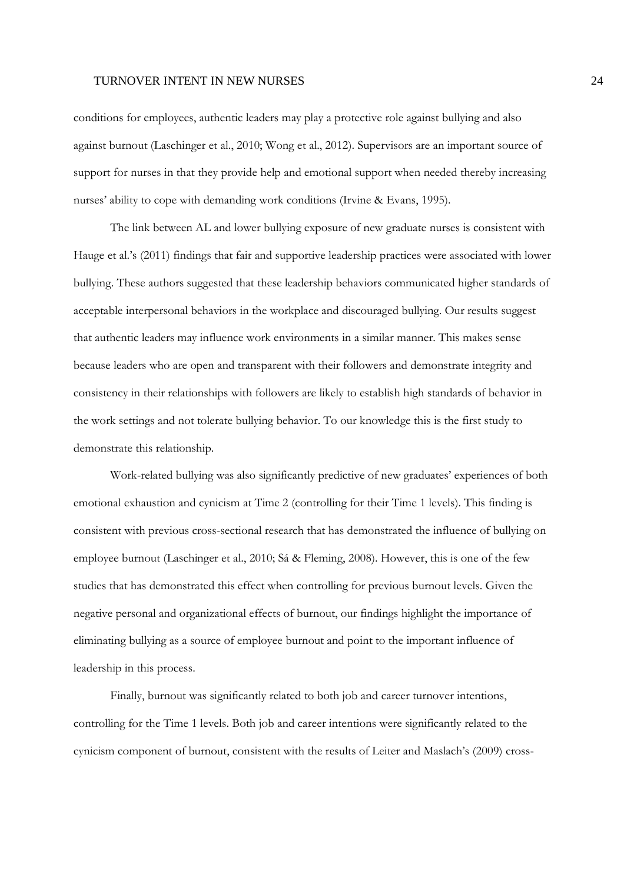conditions for employees, authentic leaders may play a protective role against bullying and also against burnout (Laschinger et al., 2010; Wong et al., 2012). Supervisors are an important source of support for nurses in that they provide help and emotional support when needed thereby increasing nurses' ability to cope with demanding work conditions (Irvine & Evans, 1995).

 The link between AL and lower bullying exposure of new graduate nurses is consistent with Hauge et al.'s (2011) findings that fair and supportive leadership practices were associated with lower bullying. These authors suggested that these leadership behaviors communicated higher standards of acceptable interpersonal behaviors in the workplace and discouraged bullying. Our results suggest that authentic leaders may influence work environments in a similar manner. This makes sense because leaders who are open and transparent with their followers and demonstrate integrity and consistency in their relationships with followers are likely to establish high standards of behavior in the work settings and not tolerate bullying behavior. To our knowledge this is the first study to demonstrate this relationship.

 Work-related bullying was also significantly predictive of new graduates' experiences of both emotional exhaustion and cynicism at Time 2 (controlling for their Time 1 levels). This finding is consistent with previous cross-sectional research that has demonstrated the influence of bullying on employee burnout (Laschinger et al., 2010; Sá & Fleming, 2008). However, this is one of the few studies that has demonstrated this effect when controlling for previous burnout levels. Given the negative personal and organizational effects of burnout, our findings highlight the importance of eliminating bullying as a source of employee burnout and point to the important influence of leadership in this process.

 Finally, burnout was significantly related to both job and career turnover intentions, controlling for the Time 1 levels. Both job and career intentions were significantly related to the cynicism component of burnout, consistent with the results of Leiter and Maslach's (2009) cross-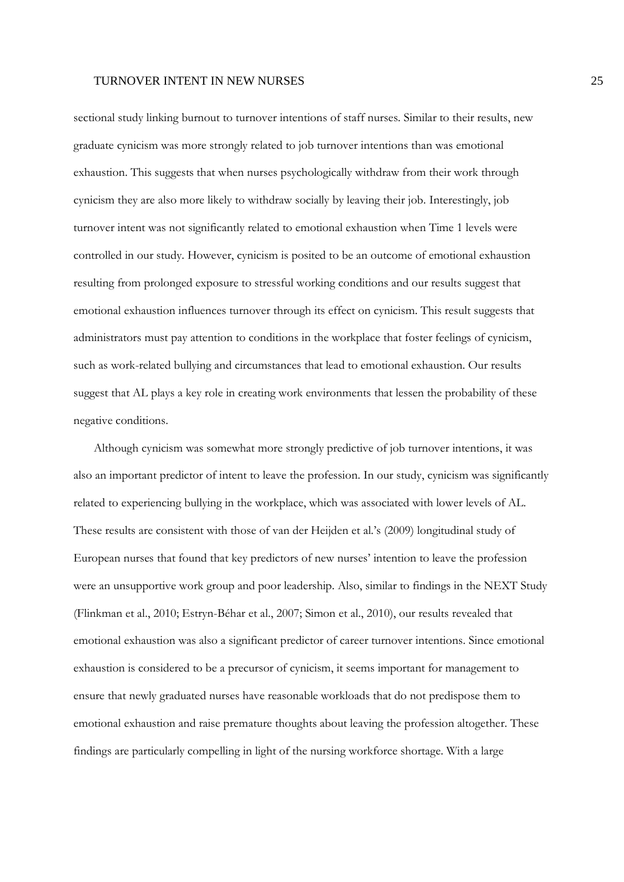sectional study linking burnout to turnover intentions of staff nurses. Similar to their results, new graduate cynicism was more strongly related to job turnover intentions than was emotional exhaustion. This suggests that when nurses psychologically withdraw from their work through cynicism they are also more likely to withdraw socially by leaving their job. Interestingly, job turnover intent was not significantly related to emotional exhaustion when Time 1 levels were controlled in our study. However, cynicism is posited to be an outcome of emotional exhaustion resulting from prolonged exposure to stressful working conditions and our results suggest that emotional exhaustion influences turnover through its effect on cynicism. This result suggests that administrators must pay attention to conditions in the workplace that foster feelings of cynicism, such as work-related bullying and circumstances that lead to emotional exhaustion. Our results suggest that AL plays a key role in creating work environments that lessen the probability of these negative conditions.

Although cynicism was somewhat more strongly predictive of job turnover intentions, it was also an important predictor of intent to leave the profession. In our study, cynicism was significantly related to experiencing bullying in the workplace, which was associated with lower levels of AL. These results are consistent with those of van der Heijden et al.'s (2009) longitudinal study of European nurses that found that key predictors of new nurses' intention to leave the profession were an unsupportive work group and poor leadership. Also, similar to findings in the NEXT Study (Flinkman et al., 2010; Estryn-Béhar et al., 2007; Simon et al., 2010), our results revealed that emotional exhaustion was also a significant predictor of career turnover intentions. Since emotional exhaustion is considered to be a precursor of cynicism, it seems important for management to ensure that newly graduated nurses have reasonable workloads that do not predispose them to emotional exhaustion and raise premature thoughts about leaving the profession altogether. These findings are particularly compelling in light of the nursing workforce shortage. With a large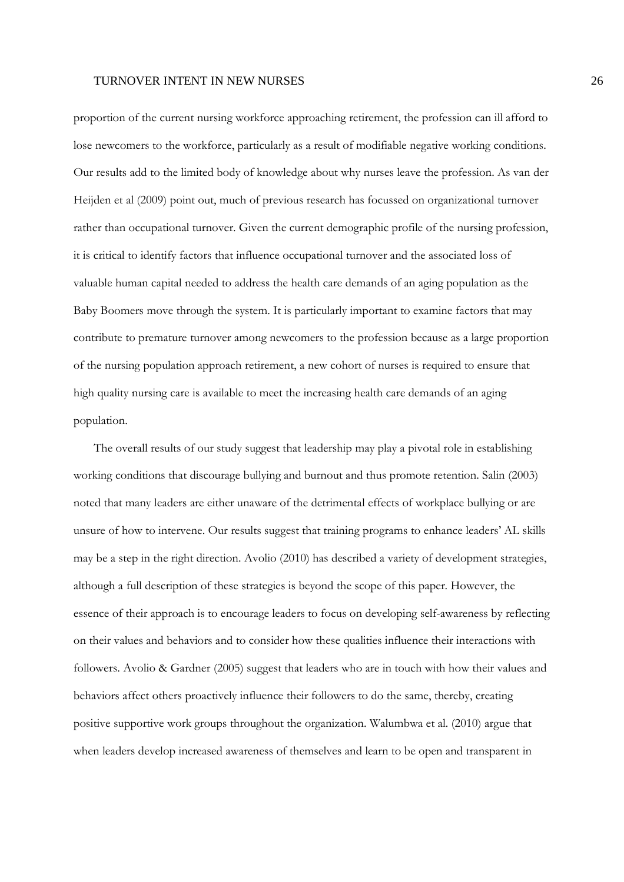proportion of the current nursing workforce approaching retirement, the profession can ill afford to lose newcomers to the workforce, particularly as a result of modifiable negative working conditions. Our results add to the limited body of knowledge about why nurses leave the profession. As van der Heijden et al (2009) point out, much of previous research has focussed on organizational turnover rather than occupational turnover. Given the current demographic profile of the nursing profession, it is critical to identify factors that influence occupational turnover and the associated loss of valuable human capital needed to address the health care demands of an aging population as the Baby Boomers move through the system. It is particularly important to examine factors that may contribute to premature turnover among newcomers to the profession because as a large proportion of the nursing population approach retirement, a new cohort of nurses is required to ensure that high quality nursing care is available to meet the increasing health care demands of an aging population.

The overall results of our study suggest that leadership may play a pivotal role in establishing working conditions that discourage bullying and burnout and thus promote retention. Salin (2003) noted that many leaders are either unaware of the detrimental effects of workplace bullying or are unsure of how to intervene. Our results suggest that training programs to enhance leaders' AL skills may be a step in the right direction. Avolio (2010) has described a variety of development strategies, although a full description of these strategies is beyond the scope of this paper. However, the essence of their approach is to encourage leaders to focus on developing self-awareness by reflecting on their values and behaviors and to consider how these qualities influence their interactions with followers. Avolio & Gardner (2005) suggest that leaders who are in touch with how their values and behaviors affect others proactively influence their followers to do the same, thereby, creating positive supportive work groups throughout the organization. Walumbwa et al. (2010) argue that when leaders develop increased awareness of themselves and learn to be open and transparent in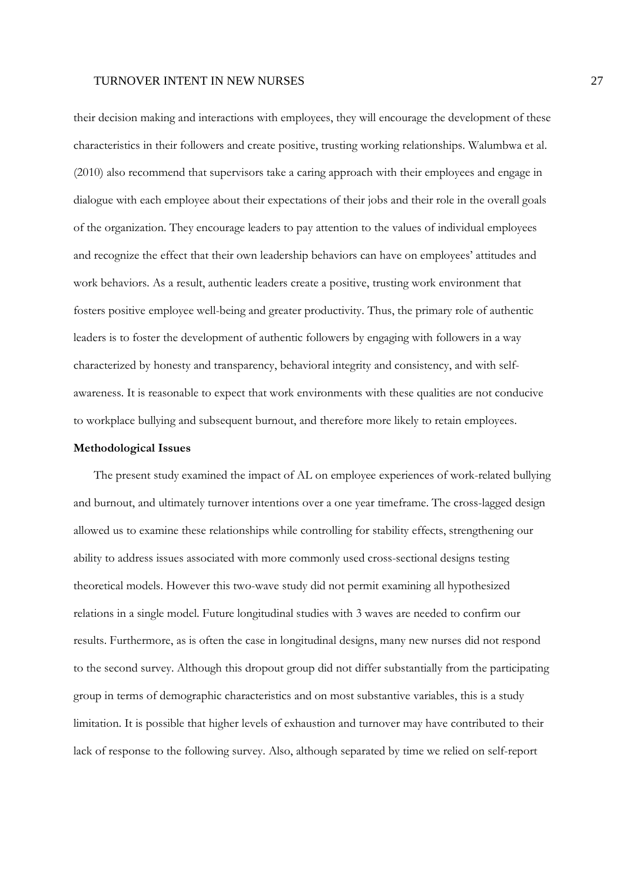their decision making and interactions with employees, they will encourage the development of these characteristics in their followers and create positive, trusting working relationships. Walumbwa et al. (2010) also recommend that supervisors take a caring approach with their employees and engage in dialogue with each employee about their expectations of their jobs and their role in the overall goals of the organization. They encourage leaders to pay attention to the values of individual employees and recognize the effect that their own leadership behaviors can have on employees' attitudes and work behaviors. As a result, authentic leaders create a positive, trusting work environment that fosters positive employee well-being and greater productivity. Thus, the primary role of authentic leaders is to foster the development of authentic followers by engaging with followers in a way characterized by honesty and transparency, behavioral integrity and consistency, and with selfawareness. It is reasonable to expect that work environments with these qualities are not conducive to workplace bullying and subsequent burnout, and therefore more likely to retain employees.

#### **Methodological Issues**

The present study examined the impact of AL on employee experiences of work-related bullying and burnout, and ultimately turnover intentions over a one year timeframe. The cross-lagged design allowed us to examine these relationships while controlling for stability effects, strengthening our ability to address issues associated with more commonly used cross-sectional designs testing theoretical models. However this two-wave study did not permit examining all hypothesized relations in a single model. Future longitudinal studies with 3 waves are needed to confirm our results. Furthermore, as is often the case in longitudinal designs, many new nurses did not respond to the second survey. Although this dropout group did not differ substantially from the participating group in terms of demographic characteristics and on most substantive variables, this is a study limitation. It is possible that higher levels of exhaustion and turnover may have contributed to their lack of response to the following survey. Also, although separated by time we relied on self-report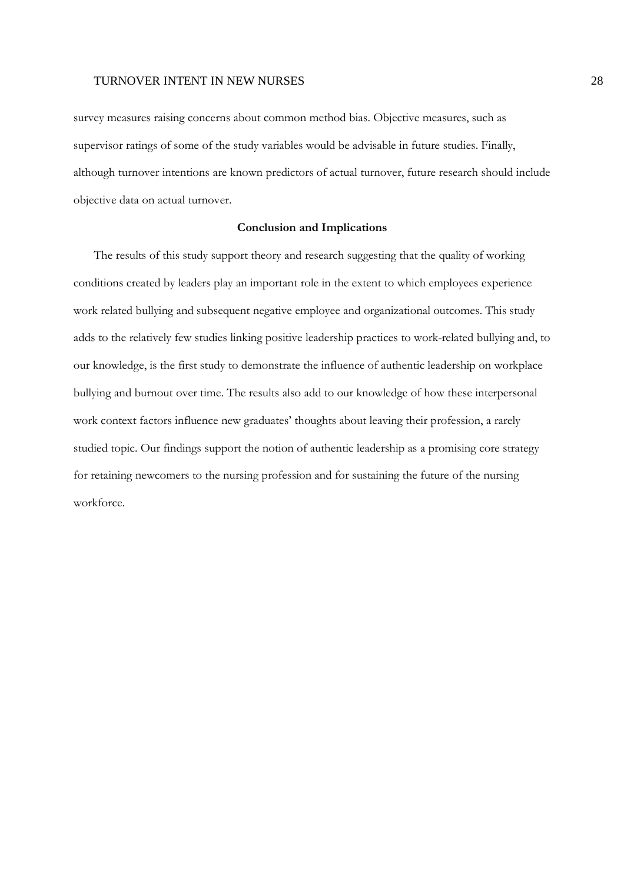survey measures raising concerns about common method bias. Objective measures, such as supervisor ratings of some of the study variables would be advisable in future studies. Finally, although turnover intentions are known predictors of actual turnover, future research should include objective data on actual turnover.

### **Conclusion and Implications**

The results of this study support theory and research suggesting that the quality of working conditions created by leaders play an important role in the extent to which employees experience work related bullying and subsequent negative employee and organizational outcomes. This study adds to the relatively few studies linking positive leadership practices to work-related bullying and, to our knowledge, is the first study to demonstrate the influence of authentic leadership on workplace bullying and burnout over time. The results also add to our knowledge of how these interpersonal work context factors influence new graduates' thoughts about leaving their profession, a rarely studied topic. Our findings support the notion of authentic leadership as a promising core strategy for retaining newcomers to the nursing profession and for sustaining the future of the nursing workforce.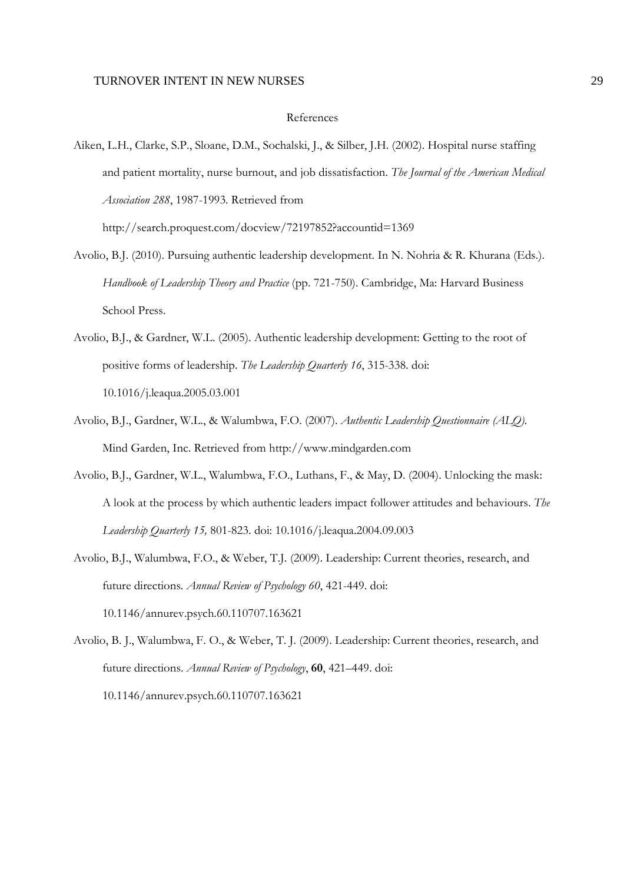#### References

Aiken, L.H., Clarke, S.P., Sloane, D.M., Sochalski, J., & Silber, J.H. (2002). Hospital nurse staffing and patient mortality, nurse burnout, and job dissatisfaction. *The Journal of the American Medical Association 288*, 1987-1993. Retrieved from

http://search.proquest.com/docview/72197852?accountid=1369

- Avolio, B.J. (2010). Pursuing authentic leadership development. In N. Nohria & R. Khurana (Eds.). *Handbook of Leadership Theory and Practice* (pp. 721-750). Cambridge, Ma: Harvard Business School Press.
- Avolio, B.J., & Gardner, W.L. (2005). Authentic leadership development: Getting to the root of positive forms of leadership. *The Leadership Quarterly 16*, 315-338. doi: 10.1016/j.leaqua.2005.03.001
- Avolio, B.J., Gardner, W.L., & Walumbwa, F.O. (2007). *Authentic Leadership Questionnaire (ALQ).* Mind Garden, Inc. Retrieved from http://www.mindgarden.com
- Avolio, B.J., Gardner, W.L., Walumbwa, F.O., Luthans, F., & May, D. (2004). Unlocking the mask: A look at the process by which authentic leaders impact follower attitudes and behaviours. *The Leadership Quarterly 15,* 801-823. doi: 10.1016/j.leaqua.2004.09.003
- Avolio, B.J., Walumbwa, F.O., & Weber, T.J. (2009). Leadership: Current theories, research, and future directions*. Annual Review of Psychology 60*, 421-449. doi: 10.1146/annurev.psych.60.110707.163621
- Avolio, B. J., Walumbwa, F. O., & Weber, T. J. (2009). Leadership: Current theories, research, and future directions. *Annual Review of Psychology*, **60**, 421–449. doi: 10.1146/annurev.psych.60.110707.163621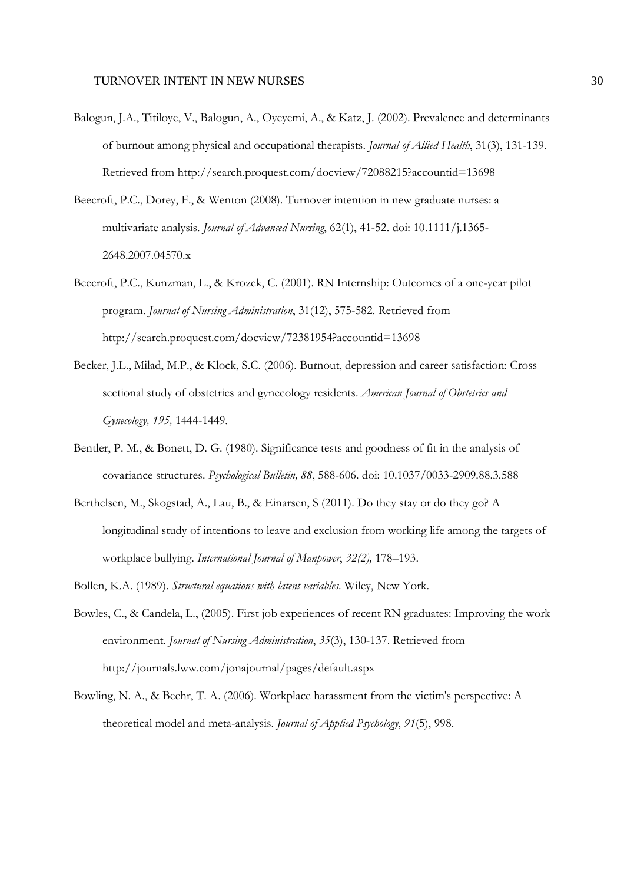- Balogun, J.A., Titiloye, V., Balogun, A., Oyeyemi, A., & Katz, J. (2002). Prevalence and determinants of burnout among physical and occupational therapists. *Journal of Allied Health*, 31(3), 131-139. Retrieved from http://search.proquest.com/docview/72088215?accountid=13698
- Beecroft, P.C., Dorey, F., & Wenton (2008). Turnover intention in new graduate nurses: a multivariate analysis. *Journal of Advanced Nursing*, 62(1), 41-52. doi: 10.1111/j.1365- 2648.2007.04570.x
- Beecroft, P.C., Kunzman, L., & Krozek, C. (2001). RN Internship: Outcomes of a one-year pilot program. *Journal of Nursing Administration*, 31(12), 575-582. Retrieved from http://search.proquest.com/docview/72381954?accountid=13698
- Becker, J.L., Milad, M.P., & Klock, S.C. (2006). Burnout, depression and career satisfaction: Cross sectional study of obstetrics and gynecology residents. *American Journal of Obstetrics and Gynecology, 195,* 1444-1449.
- Bentler, P. M., & Bonett, D. G. (1980). Significance tests and goodness of fit in the analysis of covariance structures. *Psychological Bulletin, 88*, 588-606. doi: 10.1037/0033-2909.88.3.588
- Berthelsen, M., Skogstad, A., Lau, B., & Einarsen, S (2011). Do they stay or do they go? A longitudinal study of intentions to leave and exclusion from working life among the targets of workplace bullying. *International Journal of Manpower*, *32(2),* 178–193.
- Bollen, K.A. (1989). *Structural equations with latent variables*. Wiley, New York.
- Bowles, C., & Candela, L., (2005). First job experiences of recent RN graduates: Improving the work environment. *Journal of Nursing Administration*, *35*(3), 130-137. Retrieved from http://journals.lww.com/jonajournal/pages/default.aspx
- Bowling, N. A., & Beehr, T. A. (2006). Workplace harassment from the victim's perspective: A theoretical model and meta-analysis. *Journal of Applied Psychology*, *91*(5), 998.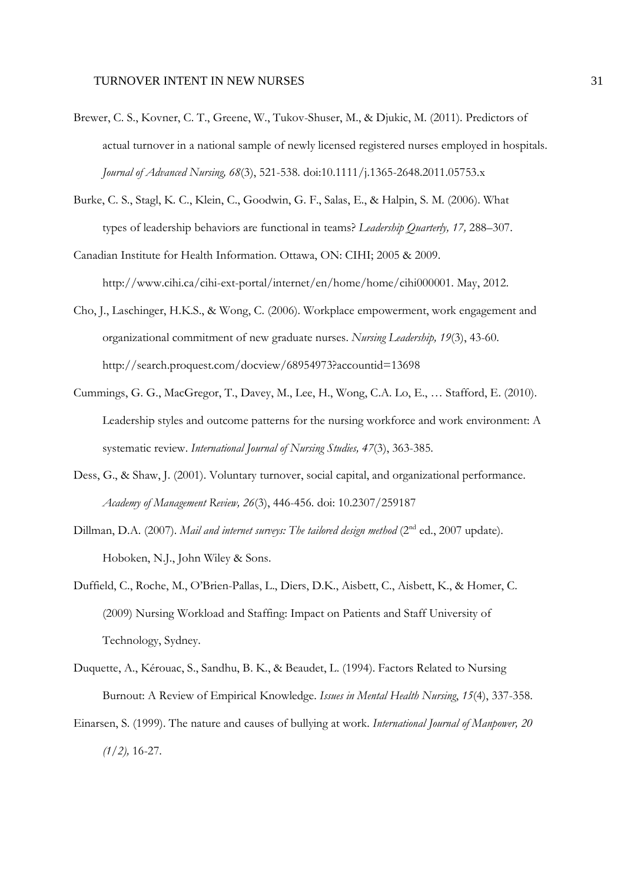- Brewer, C. S., Kovner, C. T., Greene, W., Tukov-Shuser, M., & Djukic, M. (2011). Predictors of actual turnover in a national sample of newly licensed registered nurses employed in hospitals. *Journal of Advanced Nursing, 68*(3), 521-538. doi:10.1111/j.1365-2648.2011.05753.x
- Burke, C. S., Stagl, K. C., Klein, C., Goodwin, G. F., Salas, E., & Halpin, S. M. (2006). What types of leadership behaviors are functional in teams? *Leadership Quarterly, 17,* 288–307.
- Canadian Institute for Health Information. Ottawa, ON: CIHI; 2005 & 2009. http://www.cihi.ca/cihi-ext-portal/internet/en/home/home/cihi000001. May, 2012.
- Cho, J., Laschinger, H.K.S., & Wong, C. (2006). Workplace empowerment, work engagement and organizational commitment of new graduate nurses. *Nursing Leadership, 19*(3), 43-60. http://search.proquest.com/docview/68954973?accountid=13698
- Cummings, G. G., MacGregor, T., Davey, M., Lee, H., Wong, C.A. Lo, E., … Stafford, E. (2010). Leadership styles and outcome patterns for the nursing workforce and work environment: A systematic review. *International Journal of Nursing Studies, 47*(3), 363-385.
- Dess, G., & Shaw, J. (2001). Voluntary turnover, social capital, and organizational performance. *Academy of Management Review, 26*(3), 446-456. doi: 10.2307/259187
- Dillman, D.A. (2007). *Mail and internet surveys: The tailored design method* (2<sup>nd</sup> ed., 2007 update). Hoboken, N.J., John Wiley & Sons.
- Duffield, C., Roche, M., O'Brien-Pallas, L., Diers, D.K., Aisbett, C., Aisbett, K., & Homer, C. (2009) Nursing Workload and Staffing: Impact on Patients and Staff University of Technology, Sydney.
- Duquette, A., Kérouac, S., Sandhu, B. K., & Beaudet, L. (1994). Factors Related to Nursing Burnout: A Review of Empirical Knowledge. *Issues in Mental Health Nursing*, *15*(4), 337-358.
- Einarsen, S. (1999). The nature and causes of bullying at work. *International Journal of Manpower, 20 (1/2),* 16-27.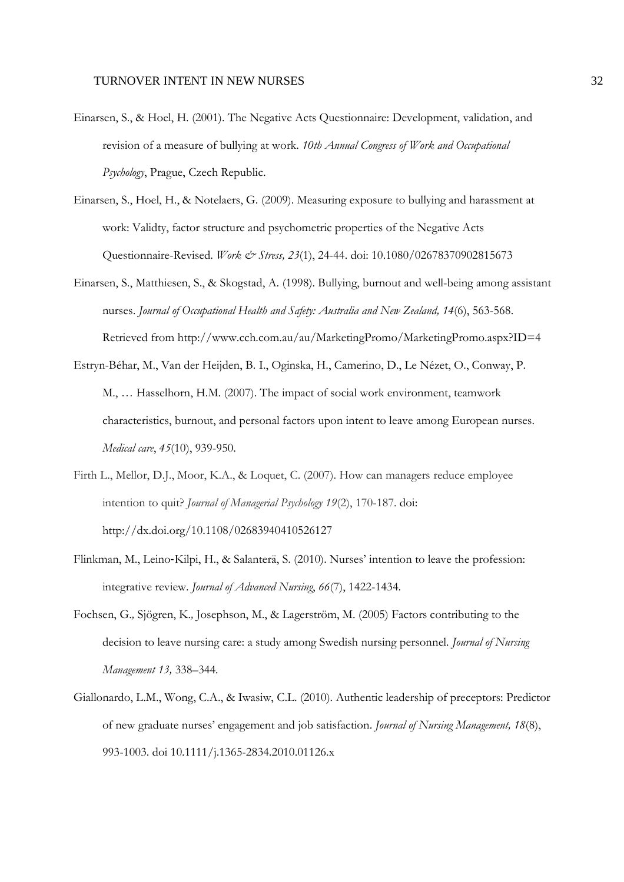- Einarsen, S., & Hoel, H. (2001). The Negative Acts Questionnaire: Development, validation, and revision of a measure of bullying at work. *10th Annual Congress of Work and Occupational Psychology*, Prague, Czech Republic.
- Einarsen, S., Hoel, H., & Notelaers, G. (2009). Measuring exposure to bullying and harassment at work: Validty, factor structure and psychometric properties of the Negative Acts Questionnaire-Revised. *Work & Stress, 23*(1), 24-44. doi: 10.1080/02678370902815673
- Einarsen, S., Matthiesen, S., & Skogstad, A. (1998). Bullying, burnout and well-being among assistant nurses. *Journal of Occupational Health and Safety: Australia and New Zealand, 14*(6), 563-568. Retrieved from http://www.cch.com.au/au/MarketingPromo/MarketingPromo.aspx?ID=4
- Estryn-Béhar, M., Van der Heijden, B. I., Oginska, H., Camerino, D., Le Nézet, O., Conway, P. M., … Hasselhorn, H.M. (2007). The impact of social work environment, teamwork characteristics, burnout, and personal factors upon intent to leave among European nurses. *Medical care*, *45*(10), 939-950.
- Firth L., Mellor, D.J., Moor, K.A., & Loquet, C. (2007). How can managers reduce employee intention to quit? *Journal of Managerial Psychology 19*(2), 170-187. doi: http://dx.doi.org/10.1108/02683940410526127
- Flinkman, M., Leino‐Kilpi, H., & Salanterä, S. (2010). Nurses' intention to leave the profession: integrative review. *Journal of Advanced Nursing*, *66*(7), 1422-1434.
- Fochsen, G.*,* Sjögren, K.*,* Josephson, M., & Lagerström, M. (2005) Factors contributing to the decision to leave nursing care: a study among Swedish nursing personnel*. Journal of Nursing Management 13,* 338*–*344*.*
- Giallonardo, L.M., Wong, C.A., & Iwasiw, C.L. (2010). Authentic leadership of preceptors: Predictor of new graduate nurses' engagement and job satisfaction. *Journal of Nursing Management, 18*(8), 993-1003. doi 10.1111/j.1365-2834.2010.01126.x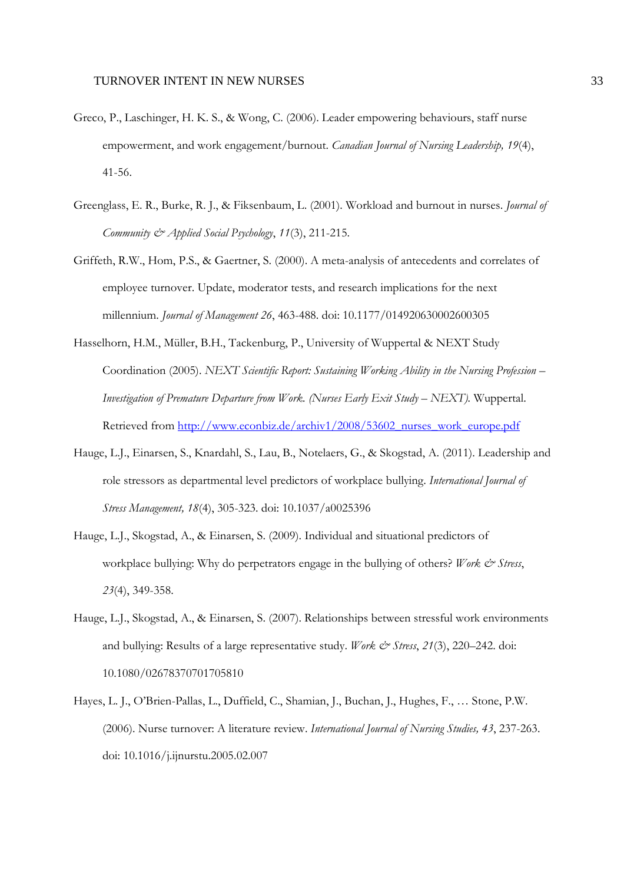- Greco, P., Laschinger, H. K. S., & Wong, C. (2006). Leader empowering behaviours, staff nurse empowerment, and work engagement/burnout. *Canadian Journal of Nursing Leadership, 19*(4), 41-56.
- Greenglass, E. R., Burke, R. J., & Fiksenbaum, L. (2001). Workload and burnout in nurses. *Journal of Community & Applied Social Psychology*, *11*(3), 211-215.
- Griffeth, R.W., Hom, P.S., & Gaertner, S. (2000). A meta-analysis of antecedents and correlates of employee turnover. Update, moderator tests, and research implications for the next millennium. *Journal of Management 26*, 463-488. doi: 10.1177/014920630002600305
- Hasselhorn, H.M., Müller, B.H., Tackenburg, P., University of Wuppertal & NEXT Study Coordination (2005). *NEXT Scientific Report: Sustaining Working Ability in the Nursing Profession – Investigation of Premature Departure from Work. (Nurses Early Exit Study – NEXT).* Wuppertal. Retrieved from http://www.econbiz.de/archiv1/2008/53602\_nurses\_work\_europe.pdf
- Hauge, L.J., Einarsen, S., Knardahl, S., Lau, B., Notelaers, G., & Skogstad, A. (2011). Leadership and role stressors as departmental level predictors of workplace bullying. *International Journal of Stress Management, 18*(4), 305-323. doi: 10.1037/a0025396
- Hauge, L.J., Skogstad, A., & Einarsen, S. (2009). Individual and situational predictors of workplace bullying: Why do perpetrators engage in the bullying of others? *Work & Stress*, *23*(4), 349-358.
- Hauge, L.J., Skogstad, A., & Einarsen, S. (2007). Relationships between stressful work environments and bullying: Results of a large representative study. *Work & Stress*, 21(3), 220–242. doi: 10.1080/02678370701705810
- Hayes, L. J., O'Brien-Pallas, L., Duffield, C., Shamian, J., Buchan, J., Hughes, F., … Stone, P.W. (2006). Nurse turnover: A literature review. *International Journal of Nursing Studies, 43*, 237-263. doi: 10.1016/j.ijnurstu.2005.02.007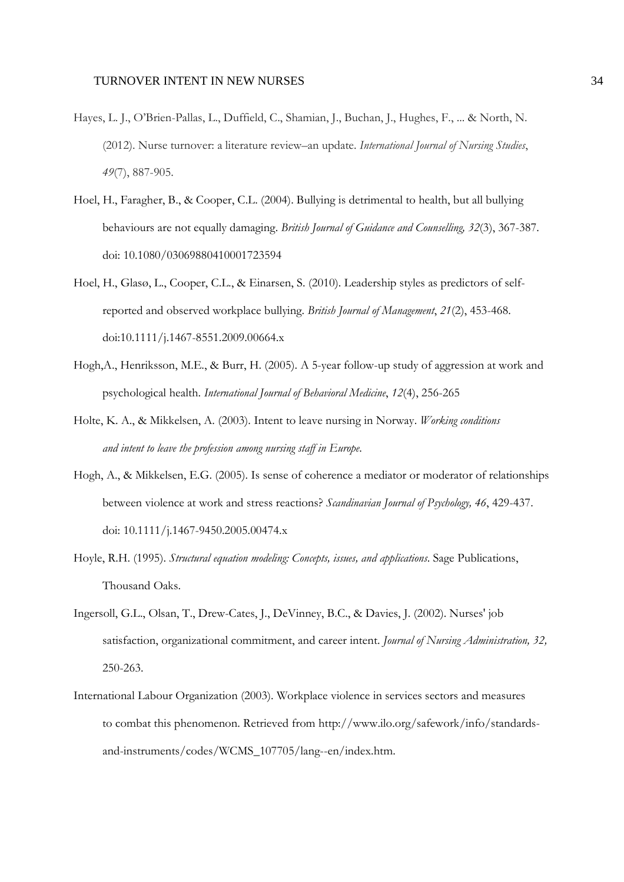- Hayes, L. J., O'Brien-Pallas, L., Duffield, C., Shamian, J., Buchan, J., Hughes, F., ... & North, N. (2012). Nurse turnover: a literature review–an update. *International Journal of Nursing Studies*, *49*(7), 887-905.
- Hoel, H., Faragher, B., & Cooper, C.L. (2004). Bullying is detrimental to health, but all bullying behaviours are not equally damaging. *British Journal of Guidance and Counselling, 32*(3), 367-387. doi: 10.1080/03069880410001723594
- Hoel, H., Glasø, L., Cooper, C.L., & Einarsen, S. (2010). Leadership styles as predictors of selfreported and observed workplace bullying. *British Journal of Management*, *21*(2), 453-468. doi:10.1111/j.1467-8551.2009.00664.x
- Hogh,A., Henriksson, M.E., & Burr, H. (2005). A 5-year follow-up study of aggression at work and psychological health. *International Journal of Behavioral Medicine*, *12*(4), 256-265
- Holte, K. A., & Mikkelsen, A. (2003). Intent to leave nursing in Norway. *Working conditions and intent to leave the profession among nursing staff in Europe*.
- Hogh, A., & Mikkelsen, E.G. (2005). Is sense of coherence a mediator or moderator of relationships between violence at work and stress reactions? *Scandinavian Journal of Psychology, 46*, 429-437. doi: 10.1111/j.1467-9450.2005.00474.x
- Hoyle, R.H. (1995). *Structural equation modeling: Concepts, issues, and applications*. Sage Publications, Thousand Oaks.
- Ingersoll, G.L., Olsan, T., Drew-Cates, J., DeVinney, B.C., & Davies, J. (2002). Nurses' job satisfaction, organizational commitment, and career intent. *Journal of Nursing Administration, 32,*  250-263.
- International Labour Organization (2003). Workplace violence in services sectors and measures to combat this phenomenon. Retrieved from http://www.ilo.org/safework/info/standardsand-instruments/codes/WCMS\_107705/lang--en/index.htm.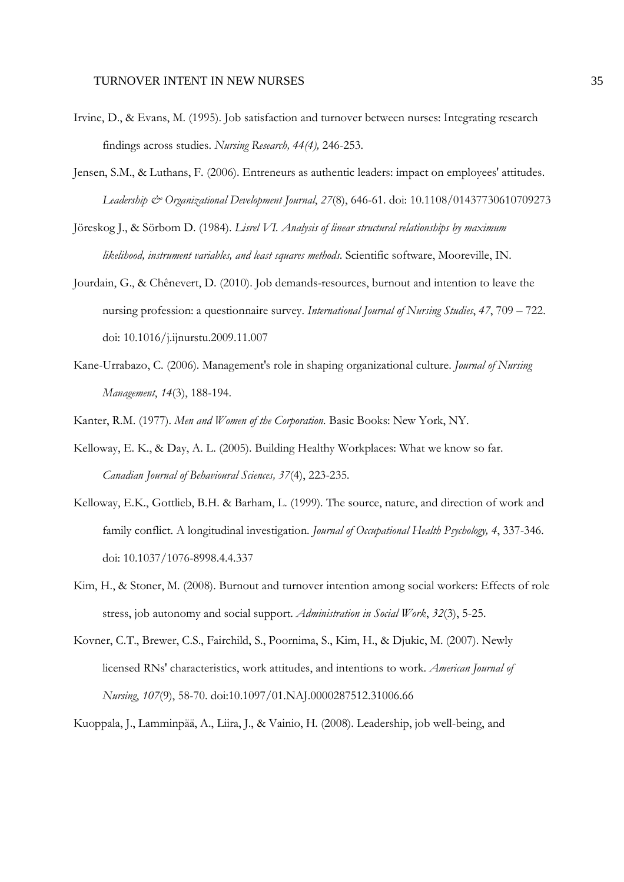- Irvine, D., & Evans, M. (1995). Job satisfaction and turnover between nurses: Integrating research findings across studies. *Nursing Research, 44(4),* 246-253.
- Jensen, S.M., & Luthans, F. (2006). Entreneurs as authentic leaders: impact on employees' attitudes. *Leadership & Organizational Development Journal*, *27*(8), 646-61. doi: 10.1108/01437730610709273
- Jöreskog J., & Sörbom D. (1984). *Lisrel VI. Analysis of linear structural relationships by maximum likelihood, instrument variables, and least squares methods*. Scientific software, Mooreville, IN.
- Jourdain, G., & Chênevert, D. (2010). Job demands-resources, burnout and intention to leave the nursing profession: a questionnaire survey. *International Journal of Nursing Studies*, *47*, 709 – 722. doi: 10.1016/j.ijnurstu.2009.11.007
- Kane-Urrabazo, C. (2006). Management's role in shaping organizational culture. *Journal of Nursing Management*, *14*(3), 188-194.
- Kanter, R.M. (1977). *Men and Women of the Corporation.* Basic Books: New York, NY.
- Kelloway, E. K., & Day, A. L. (2005). Building Healthy Workplaces: What we know so far. *Canadian Journal of Behavioural Sciences, 37*(4), 223-235*.*
- Kelloway, E.K., Gottlieb, B.H. & Barham, L. (1999). The source, nature, and direction of work and family conflict. A longitudinal investigation. *Journal of Occupational Health Psychology, 4*, 337-346. doi: 10.1037/1076-8998.4.4.337
- Kim, H., & Stoner, M. (2008). Burnout and turnover intention among social workers: Effects of role stress, job autonomy and social support. *Administration in Social Work*, *32*(3), 5-25.
- Kovner, C.T., Brewer, C.S., Fairchild, S., Poornima, S., Kim, H., & Djukic, M. (2007). Newly licensed RNs' characteristics, work attitudes, and intentions to work. *American Journal of Nursing*, *107*(9), 58-70. doi:10.1097/01.NAJ.0000287512.31006.66

Kuoppala, J., Lamminpää, A., Liira, J., & Vainio, H. (2008). Leadership, job well-being, and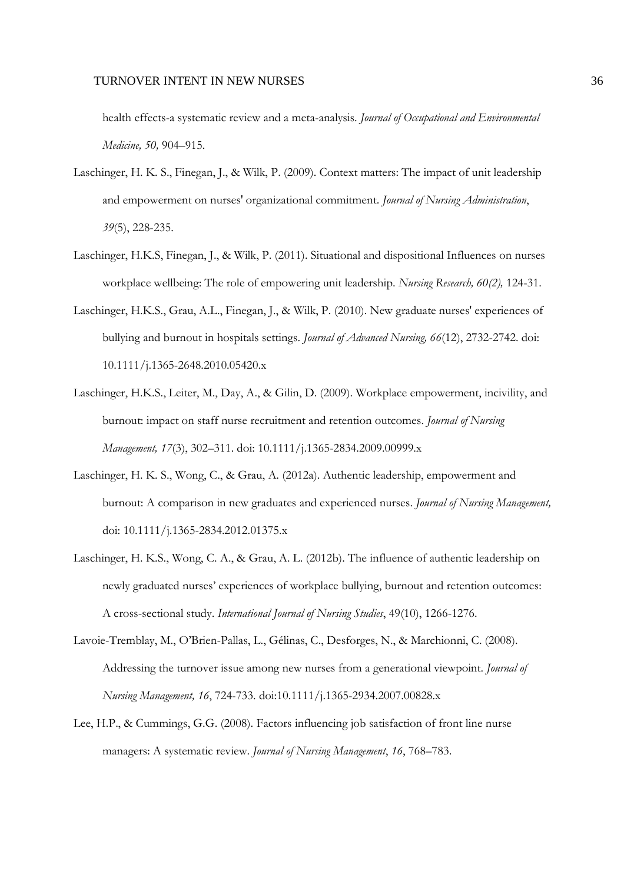health effects-a systematic review and a meta-analysis. *Journal of Occupational and Environmental Medicine, 50,* 904–915.

- Laschinger, H. K. S., Finegan, J., & Wilk, P. (2009). Context matters: The impact of unit leadership and empowerment on nurses' organizational commitment. *Journal of Nursing Administration*, *39*(5), 228-235.
- Laschinger, H.K.S, Finegan, J., & Wilk, P. (2011). Situational and dispositional Influences on nurses workplace wellbeing: The role of empowering unit leadership. *Nursing Research, 60(2),* 124-31.
- Laschinger, H.K.S., Grau, A.L., Finegan, J., & Wilk, P. (2010). New graduate nurses' experiences of bullying and burnout in hospitals settings. *Journal of Advanced Nursing, 66*(12), 2732-2742. doi: 10.1111/j.1365-2648.2010.05420.x
- Laschinger, H.K.S., Leiter, M., Day, A., & Gilin, D. (2009). Workplace empowerment, incivility, and burnout: impact on staff nurse recruitment and retention outcomes. *Journal of Nursing Management, 17*(3), 302–311. doi: 10.1111/j.1365-2834.2009.00999.x
- Laschinger, H. K. S., Wong, C., & Grau, A. (2012a). Authentic leadership, empowerment and burnout: A comparison in new graduates and experienced nurses. *Journal of Nursing Management,*  doi: 10.1111/j.1365-2834.2012.01375.x
- Laschinger, H. K.S., Wong, C. A., & Grau, A. L. (2012b). The influence of authentic leadership on newly graduated nurses' experiences of workplace bullying, burnout and retention outcomes: A cross-sectional study. *International Journal of Nursing Studies*, 49(10), 1266-1276.
- Lavoie-Tremblay, M., O'Brien-Pallas, L., Gélinas, C., Desforges, N., & Marchionni, C. (2008). Addressing the turnover issue among new nurses from a generational viewpoint. *Journal of Nursing Management, 16*, 724-733. doi:10.1111/j.1365-2934.2007.00828.x
- Lee, H.P., & Cummings, G.G. (2008). Factors influencing job satisfaction of front line nurse managers: A systematic review. *Journal of Nursing Management*, *16*, 768–783.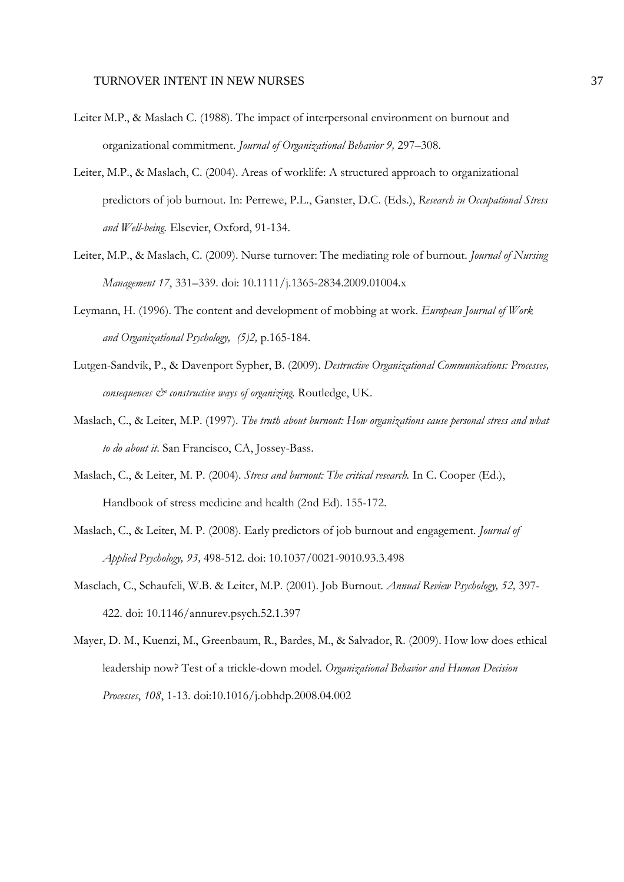- Leiter M.P., & Maslach C. (1988). The impact of interpersonal environment on burnout and organizational commitment. *Journal of Organizational Behavior 9,* 297–308.
- Leiter, M.P., & Maslach, C. (2004). Areas of worklife: A structured approach to organizational predictors of job burnout. In: Perrewe, P.L., Ganster, D.C. (Eds.), *Research in Occupational Stress and Well-being.* Elsevier, Oxford, 91-134.
- Leiter, M.P., & Maslach, C. (2009). Nurse turnover: The mediating role of burnout. *Journal of Nursing Management 17*, 331–339. doi: 10.1111/j.1365-2834.2009.01004.x
- Leymann, H. (1996). The content and development of mobbing at work. *European Journal of Work and Organizational Psychology, (5)2,* p.165-184.
- Lutgen-Sandvik, P., & Davenport Sypher, B. (2009). *Destructive Organizational Communications: Processes, consequences & constructive ways of organizing.* Routledge, UK.
- Maslach, C., & Leiter, M.P. (1997). *The truth about burnout: How organizations cause personal stress and what to do about it*. San Francisco, CA, Jossey-Bass.
- Maslach, C., & Leiter, M. P. (2004). *Stress and burnout: The critical research.* In C. Cooper (Ed.), Handbook of stress medicine and health (2nd Ed). 155-172.
- Maslach, C., & Leiter, M. P. (2008). Early predictors of job burnout and engagement. *Journal of Applied Psychology, 93,* 498-512. doi: 10.1037/0021-9010.93.3.498
- Masclach, C., Schaufeli, W.B. & Leiter, M.P. (2001). Job Burnout*. Annual Review Psychology, 52,* 397- 422. doi: 10.1146/annurev.psych.52.1.397
- Mayer, D. M., Kuenzi, M., Greenbaum, R., Bardes, M., & Salvador, R. (2009). How low does ethical leadership now? Test of a trickle-down model. *Organizational Behavior and Human Decision Processes*, *108*, 1-13. doi:10.1016/j.obhdp.2008.04.002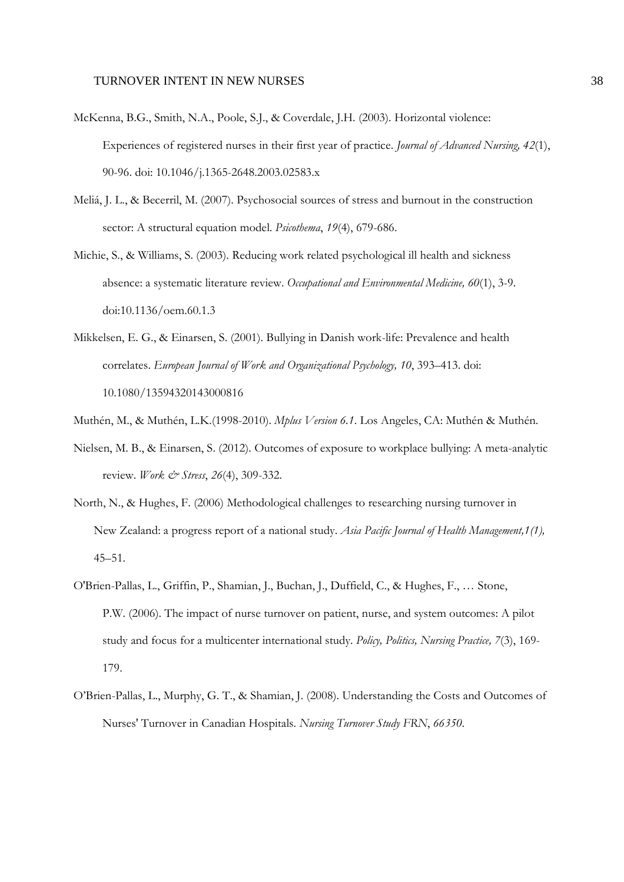- McKenna, B.G., Smith, N.A., Poole, S.J., & Coverdale, J.H. (2003). Horizontal violence: Experiences of registered nurses in their first year of practice. *Journal of Advanced Nursing, 42*(1), 90-96. doi: 10.1046/j.1365-2648.2003.02583.x
- Meliá, J. L., & Becerril, M. (2007). Psychosocial sources of stress and burnout in the construction sector: A structural equation model. *Psicothema*, *19*(4), 679-686.
- Michie, S., & Williams, S. (2003). Reducing work related psychological ill health and sickness absence: a systematic literature review. *Occupational and Environmental Medicine, 60*(1), 3-9. doi:10.1136/oem.60.1.3
- Mikkelsen, E. G., & Einarsen, S. (2001). Bullying in Danish work-life: Prevalence and health correlates. *European Journal of Work and Organizational Psychology, 10*, 393–413. doi: 10.1080/13594320143000816
- Muthén, M., & Muthén, L.K.(1998-2010). *Mplus Version 6.1*. Los Angeles, CA: Muthén & Muthén.
- Nielsen, M. B., & Einarsen, S. (2012). Outcomes of exposure to workplace bullying: A meta-analytic review. *Work & Stress*, 26(4), 309-332.
- North, N., & Hughes, F. (2006) Methodological challenges to researching nursing turnover in New Zealand: a progress report of a national study. *Asia Pacific Journal of Health Management,1(1),*  $45 - 51$ .
- O'Brien-Pallas, L., Griffin, P., Shamian, J., Buchan, J., Duffield, C., & Hughes, F., … Stone, P.W. (2006). The impact of nurse turnover on patient, nurse, and system outcomes: A pilot study and focus for a multicenter international study. *Policy, Politics, Nursing Practice, 7*(3), 169- 179.
- O'Brien-Pallas, L., Murphy, G. T., & Shamian, J. (2008). Understanding the Costs and Outcomes of Nurses' Turnover in Canadian Hospitals. *Nursing Turnover Study FRN*, *66350*.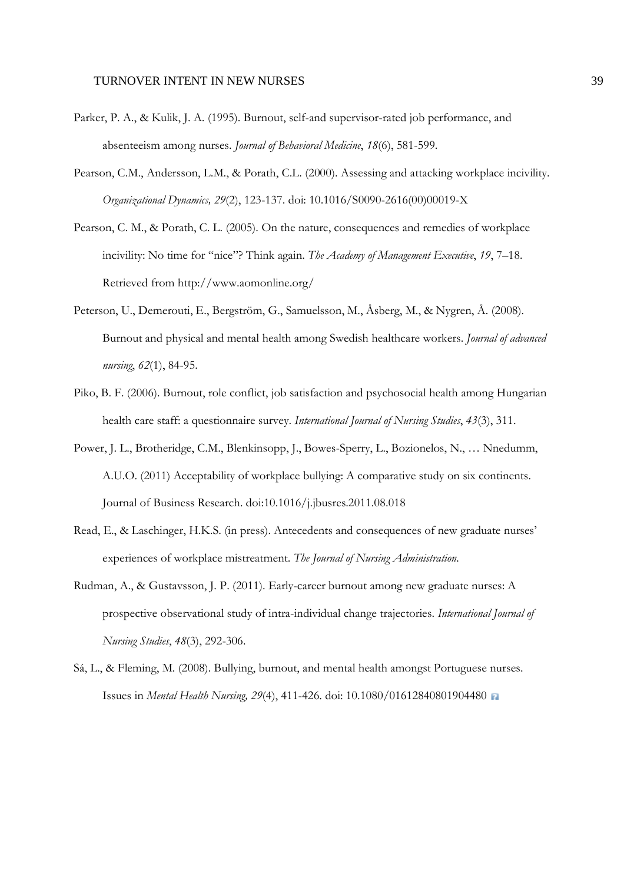- Parker, P. A., & Kulik, J. A. (1995). Burnout, self-and supervisor-rated job performance, and absenteeism among nurses. *Journal of Behavioral Medicine*, *18*(6), 581-599.
- Pearson, C.M., Andersson, L.M., & Porath, C.L. (2000). Assessing and attacking workplace incivility. *Organizational Dynamics, 29*(2), 123-137. doi: 10.1016/S0090-2616(00)00019-X
- Pearson, C. M., & Porath, C. L. (2005). On the nature, consequences and remedies of workplace incivility: No time for "nice"? Think again. *The Academy of Management Executive*, *19*, 7–18. Retrieved from http://www.aomonline.org/
- Peterson, U., Demerouti, E., Bergström, G., Samuelsson, M., Åsberg, M., & Nygren, Å. (2008). Burnout and physical and mental health among Swedish healthcare workers. *Journal of advanced nursing*, *62*(1), 84-95.
- Piko, B. F. (2006). Burnout, role conflict, job satisfaction and psychosocial health among Hungarian health care staff: a questionnaire survey. *International Journal of Nursing Studies*, *43*(3), 311.
- Power, J. L., Brotheridge, C.M., Blenkinsopp, J., Bowes-Sperry, L., Bozionelos, N., … Nnedumm, A.U.O. (2011) Acceptability of workplace bullying: A comparative study on six continents. Journal of Business Research. doi:10.1016/j.jbusres.2011.08.018
- Read, E., & Laschinger, H.K.S. (in press). Antecedents and consequences of new graduate nurses' experiences of workplace mistreatment. *The Journal of Nursing Administration.*
- Rudman, A., & Gustavsson, J. P. (2011). Early-career burnout among new graduate nurses: A prospective observational study of intra-individual change trajectories. *International Journal of Nursing Studies*, *48*(3), 292-306.
- Sá, L., & Fleming, M. (2008). Bullying, burnout, and mental health amongst Portuguese nurses. Issues in *Mental Health Nursing, 29*(4), 411-426. doi: 10.1080/01612840801904480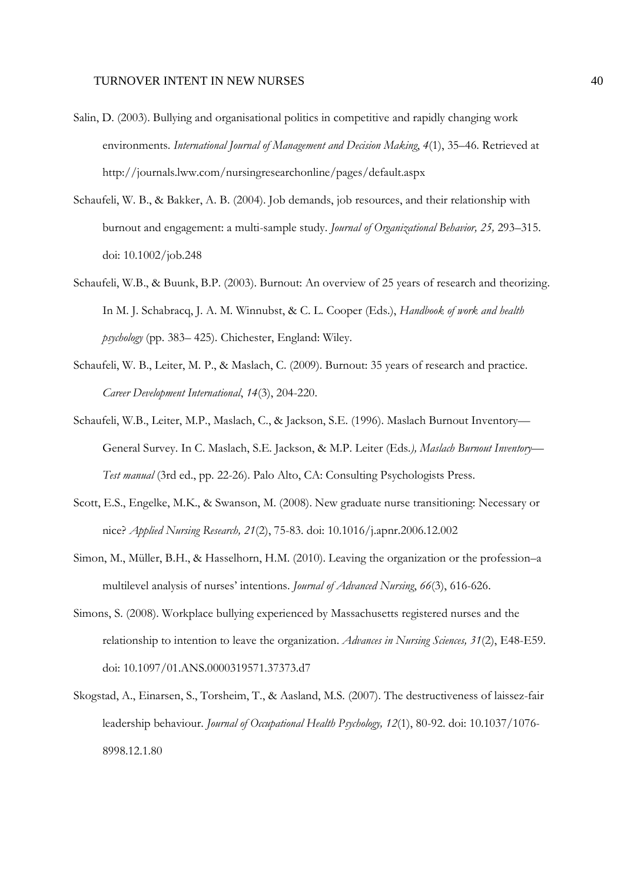- Salin, D. (2003). Bullying and organisational politics in competitive and rapidly changing work environments. *International Journal of Management and Decision Making*, *4*(1), 35–46. Retrieved at http://journals.lww.com/nursingresearchonline/pages/default.aspx
- Schaufeli, W. B., & Bakker, A. B. (2004). Job demands, job resources, and their relationship with burnout and engagement: a multi-sample study. *Journal of Organizational Behavior, 25,* 293–315. doi: 10.1002/job.248
- Schaufeli, W.B., & Buunk, B.P. (2003). Burnout: An overview of 25 years of research and theorizing. In M. J. Schabracq, J. A. M. Winnubst, & C. L. Cooper (Eds.), *Handbook of work and health psychology* (pp. 383– 425). Chichester, England: Wiley.
- Schaufeli, W. B., Leiter, M. P., & Maslach, C. (2009). Burnout: 35 years of research and practice. *Career Development International*, *14*(3), 204-220.
- Schaufeli, W.B., Leiter, M.P., Maslach, C., & Jackson, S.E. (1996). Maslach Burnout Inventory— General Survey. In C. Maslach, S.E. Jackson, & M.P. Leiter (Eds*.), Maslach Burnout Inventory— Test manual* (3rd ed., pp. 22-26). Palo Alto, CA: Consulting Psychologists Press.
- Scott, E.S., Engelke, M.K., & Swanson, M. (2008). New graduate nurse transitioning: Necessary or nice? *Applied Nursing Research, 21*(2), 75-83. doi: 10.1016/j.apnr.2006.12.002
- Simon, M., Müller, B.H., & Hasselhorn, H.M. (2010). Leaving the organization or the profession–a multilevel analysis of nurses' intentions. *Journal of Advanced Nursing*, *66*(3), 616-626.
- Simons, S. (2008). Workplace bullying experienced by Massachusetts registered nurses and the relationship to intention to leave the organization. *Advances in Nursing Sciences, 31*(2), E48-E59. doi: 10.1097/01.ANS.0000319571.37373.d7
- Skogstad, A., Einarsen, S., Torsheim, T., & Aasland, M.S. (2007). The destructiveness of laissez-fair leadership behaviour. *Journal of Occupational Health Psychology, 12*(1), 80-92. doi: 10.1037/1076- 8998.12.1.80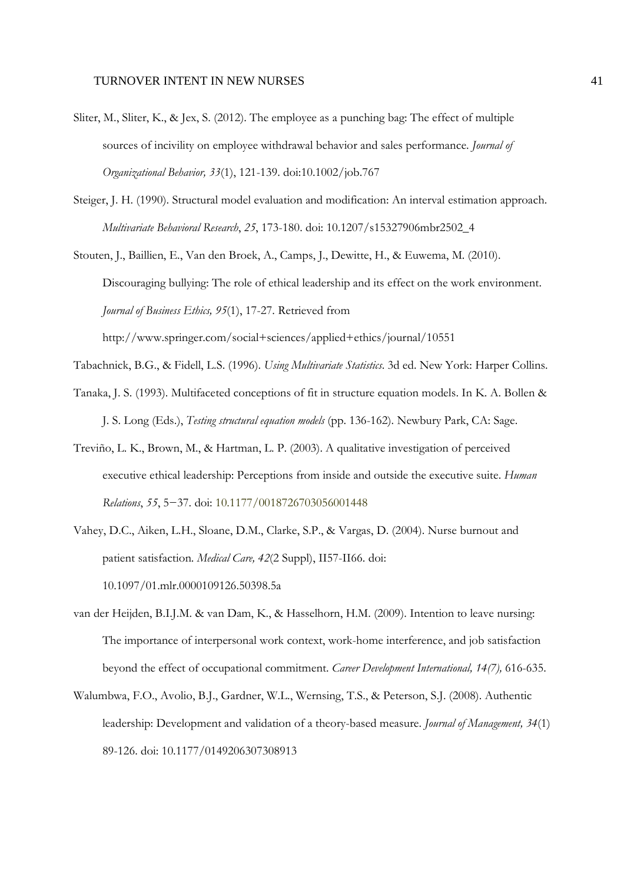- Sliter, M., Sliter, K., & Jex, S. (2012). The employee as a punching bag: The effect of multiple sources of incivility on employee withdrawal behavior and sales performance. *Journal of Organizational Behavior, 33*(1), 121-139. doi:10.1002/job.767
- Steiger, J. H. (1990). Structural model evaluation and modification: An interval estimation approach. *Multivariate Behavioral Research*, *25*, 173-180. doi: 10.1207/s15327906mbr2502\_4
- Stouten, J., Baillien, E., Van den Broek, A., Camps, J., Dewitte, H., & Euwema, M. (2010). Discouraging bullying: The role of ethical leadership and its effect on the work environment. *Journal of Business Ethics, 95*(1), 17-27. Retrieved from http://www.springer.com/social+sciences/applied+ethics/journal/10551
- Tabachnick, B.G., & Fidell, L.S. (1996). *Using Multivariate Statistics*. 3d ed. New York: Harper Collins.
- Tanaka, J. S. (1993). Multifaceted conceptions of fit in structure equation models. In K. A. Bollen & J. S. Long (Eds.), *Testing structural equation models* (pp. 136-162). Newbury Park, CA: Sage.
- Treviño, L. K., Brown, M., & Hartman, L. P. (2003). A qualitative investigation of perceived executive ethical leadership: Perceptions from inside and outside the executive suite. *Human Relations*, *55*, 5−37. doi: 10.1177/0018726703056001448
- Vahey, D.C., Aiken, L.H., Sloane, D.M., Clarke, S.P., & Vargas, D. (2004). Nurse burnout and patient satisfaction. *Medical Care, 42*(2 Suppl), II57-II66. doi: 10.1097/01.mlr.0000109126.50398.5a
- van der Heijden, B.I.J.M. & van Dam, K., & Hasselhorn, H.M. (2009). Intention to leave nursing: The importance of interpersonal work context, work-home interference, and job satisfaction beyond the effect of occupational commitment. *Career Development International, 14(7),* 616-635.
- Walumbwa, F.O., Avolio, B.J., Gardner, W.L., Wernsing, T.S., & Peterson, S.J. (2008). Authentic leadership: Development and validation of a theory-based measure. *Journal of Management, 34*(1) 89-126. doi: 10.1177/0149206307308913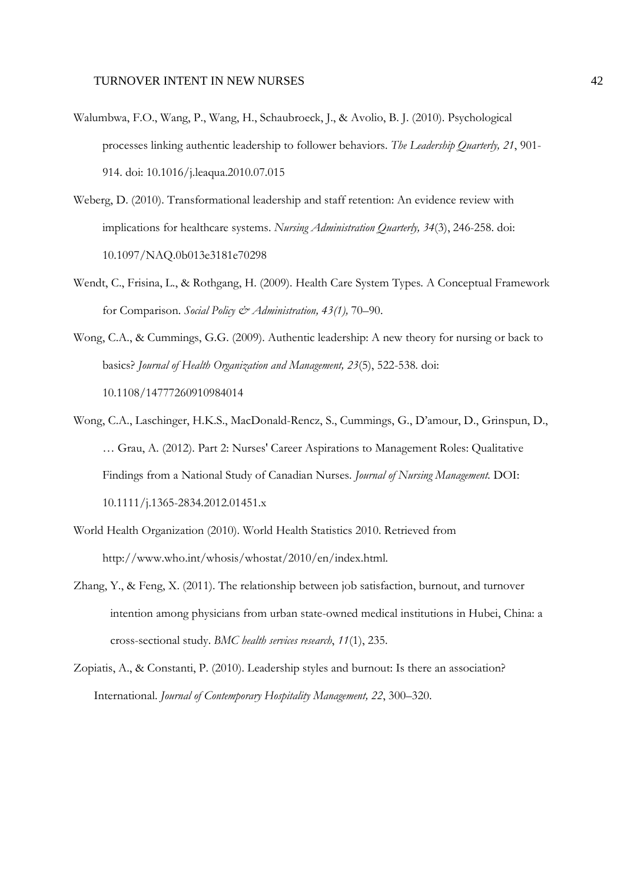- Walumbwa, F.O., Wang, P., Wang, H., Schaubroeck, J., & Avolio, B. J. (2010). Psychological processes linking authentic leadership to follower behaviors. *The Leadership Quarterly, 21*, 901- 914. doi: 10.1016/j.leaqua.2010.07.015
- Weberg, D. (2010). Transformational leadership and staff retention: An evidence review with implications for healthcare systems. *Nursing Administration Quarterly, 34*(3), 246-258. doi: 10.1097/NAQ.0b013e3181e70298
- Wendt, C., Frisina, L., & Rothgang, H. (2009). Health Care System Types. A Conceptual Framework for Comparison. *Social Policy & Administration, 43(1),* 70–90.
- Wong, C.A., & Cummings, G.G. (2009). Authentic leadership: A new theory for nursing or back to basics? *Journal of Health Organization and Management, 23*(5), 522-538*.* doi: 10.1108/14777260910984014
- Wong, C.A., Laschinger, H.K.S., MacDonald-Rencz, S., Cummings, G., D'amour, D., Grinspun, D., … Grau, A. (2012). Part 2: Nurses' Career Aspirations to Management Roles: Qualitative Findings from a National Study of Canadian Nurses. *Journal of Nursing Management.* DOI: 10.1111/j.1365-2834.2012.01451.x
- World Health Organization (2010). World Health Statistics 2010. Retrieved from http://www.who.int/whosis/whostat/2010/en/index.html.
- Zhang, Y., & Feng, X. (2011). The relationship between job satisfaction, burnout, and turnover intention among physicians from urban state-owned medical institutions in Hubei, China: a cross-sectional study. *BMC health services research*, *11*(1), 235.
- Zopiatis, A., & Constanti, P. (2010). Leadership styles and burnout: Is there an association? International. *Journal of Contemporary Hospitality Management, 22*, 300–320.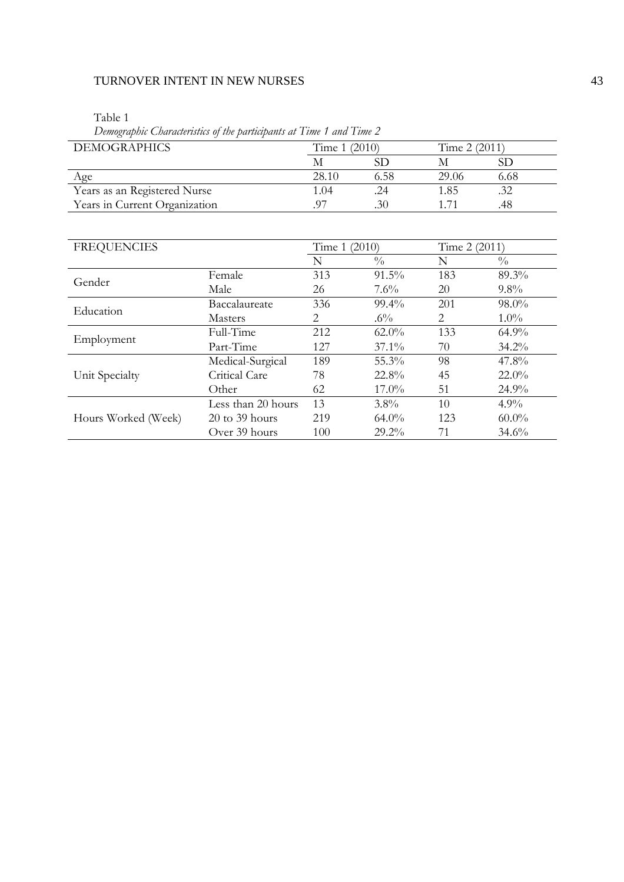Table 1

Years in Current Organization

*Demographic Characteristics of the participants at Time 1 and Time 2*  DEMOGRAPHICS Time 1 (2010) Time 2 (2011)<br>M SD M SI M SD M SD Age 28.10 6.58 29.06 6.68 Vears as an Registered Nurse 1.04 .24 1.85 .32<br>
Years in Current Organization .97 .30 1.71 .48

| <b>FREQUENCIES</b>                                       |                                   | Time 1 (2010) |                                                                      | Time 2 (2011) |               |
|----------------------------------------------------------|-----------------------------------|---------------|----------------------------------------------------------------------|---------------|---------------|
|                                                          |                                   | N             | $\frac{0}{0}$                                                        | N             | $\frac{0}{0}$ |
|                                                          | Female                            | 313           | $91.5\%$                                                             | 183           | 89.3%         |
|                                                          | Male                              | 26            | $7.6\%$                                                              | 20            | $9.8\%$       |
|                                                          | Baccalaureate                     | 336           | $99.4\%$                                                             | 201           | 98.0%         |
|                                                          | <b>Masters</b>                    | 2             | $.6\%$                                                               | 2             | $1.0\%$       |
|                                                          | Full-Time                         | 212           | $62.0\%$                                                             | 133           | $64.9\%$      |
|                                                          | Part-Time                         | 127           | $37.1\%$                                                             | 70            | $34.2\%$      |
|                                                          | Medical-Surgical                  | 189           | 55.3%                                                                | 98            | $47.8\%$      |
| Unit Specialty                                           | Critical Care                     | 78            | $22.8\%$                                                             | 45            | $22.0\%$      |
|                                                          | Other                             | 62            | $17.0\%$<br>51<br>$3.8\%$<br>10<br>123<br>$64.0\%$<br>$29.2\%$<br>71 | 24.9%         |               |
|                                                          | Less than 20 hours                | 13            |                                                                      |               | $4.9\%$       |
| Gender<br>Education<br>Employment<br>Hours Worked (Week) | $20 \text{ to } 39 \text{ hours}$ | 219           |                                                                      |               | $60.0\%$      |
|                                                          | Over 39 hours                     | 100           |                                                                      |               | 34.6%         |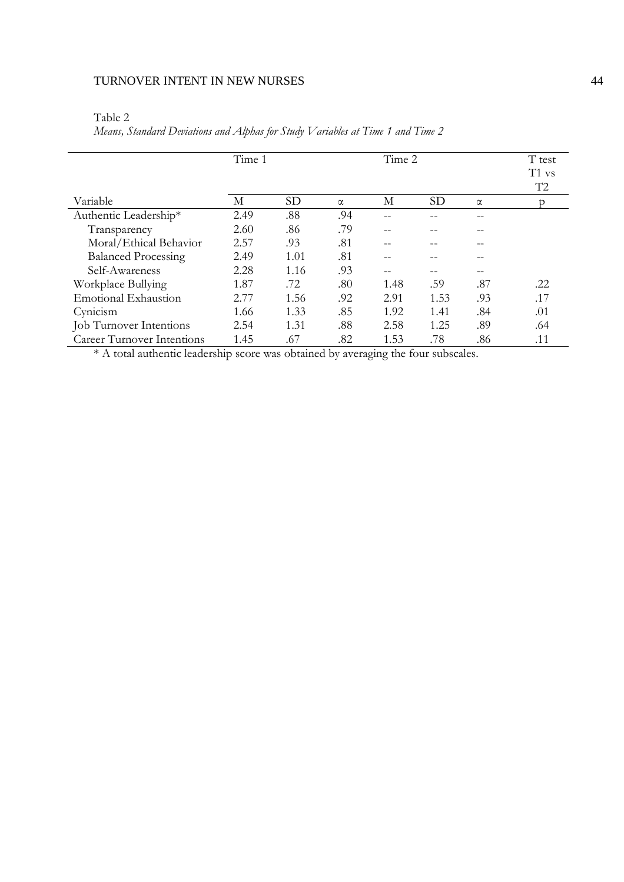| able |  |
|------|--|
|------|--|

*Means, Standard Deviations and Alphas for Study Variables at Time 1 and Time 2* 

|                                   | Time 1 |           |          | Time 2 |           |          | T test<br>T1 vs<br>T <sub>2</sub> |
|-----------------------------------|--------|-----------|----------|--------|-----------|----------|-----------------------------------|
| Variable                          | М      | <b>SD</b> | $\alpha$ | М      | <b>SD</b> | $\alpha$ |                                   |
| Authentic Leadership*             | 2.49   | .88       | .94      |        |           |          |                                   |
| Transparency                      | 2.60   | .86       | .79      |        |           |          |                                   |
| Moral/Ethical Behavior            | 2.57   | .93       | .81      |        |           |          |                                   |
| <b>Balanced Processing</b>        | 2.49   | 1.01      | .81      |        |           |          |                                   |
| Self-Awareness                    | 2.28   | 1.16      | .93      |        |           |          |                                   |
| Workplace Bullying                | 1.87   | .72       | .80      | 1.48   | .59       | .87      | .22                               |
| <b>Emotional Exhaustion</b>       | 2.77   | 1.56      | .92      | 2.91   | 1.53      | .93      | .17                               |
| Cynicism                          | 1.66   | 1.33      | .85      | 1.92   | 1.41      | .84      | .01                               |
| <b>Job</b> Turnover Intentions    | 2.54   | 1.31      | .88      | 2.58   | 1.25      | .89      | .64                               |
| <b>Career Turnover Intentions</b> | 1.45   | .67       | .82      | 1.53   | .78       | .86      | .11                               |

\* A total authentic leadership score was obtained by averaging the four subscales.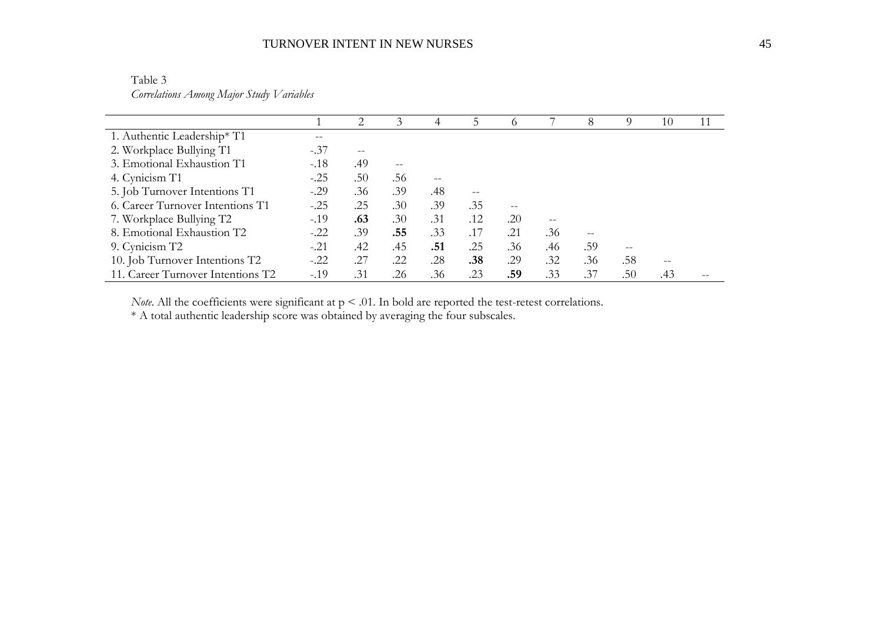Table 3 *Correlations Among Major Study Variables* 

|                                   |        | $\mathcal{D}_{\mathcal{L}}$ | 3                | 4   | 5.  |     |     | 8   | O)  | 10   |  |
|-----------------------------------|--------|-----------------------------|------------------|-----|-----|-----|-----|-----|-----|------|--|
| 1. Authentic Leadership* T1       |        |                             |                  |     |     |     |     |     |     |      |  |
| 2. Workplace Bullying T1          | $-.37$ | $- -$                       |                  |     |     |     |     |     |     |      |  |
| 3. Emotional Exhaustion T1        | $-.18$ | .49                         |                  |     |     |     |     |     |     |      |  |
| 4. Cynicism T1                    | $-.25$ | .50                         | .56              |     |     |     |     |     |     |      |  |
| 5. Job Turnover Intentions T1     | $-.29$ | .36                         | .39              | .48 |     |     |     |     |     |      |  |
| 6. Career Turnover Intentions T1  | $-.25$ | .25                         | .30              | .39 | .35 |     |     |     |     |      |  |
| 7. Workplace Bullying T2          | $-.19$ | .63                         | .30 <sub>1</sub> | .31 | .12 | .20 |     |     |     |      |  |
| 8. Emotional Exhaustion T2        | $-.22$ | .39                         | .55              | .33 | .17 | .21 | .36 |     |     |      |  |
| 9. Cynicism T2                    | $-.21$ | .42                         | .45              | .51 | .25 | .36 | .46 | .59 |     |      |  |
| 10. Job Turnover Intentions T2    | $-.22$ | .27                         | .22              | .28 | .38 | .29 | .32 | .36 | .58 | $ -$ |  |
| 11. Career Turnover Intentions T2 | $-.19$ | .31                         | .26              | .36 | .23 | .59 | .33 | .37 | .50 | .43  |  |

*Note*. All the coefficients were significant at  $p < .01$ . In bold are reported the test-retest correlations.

\* A total authentic leadership score was obtained by averaging the four subscales.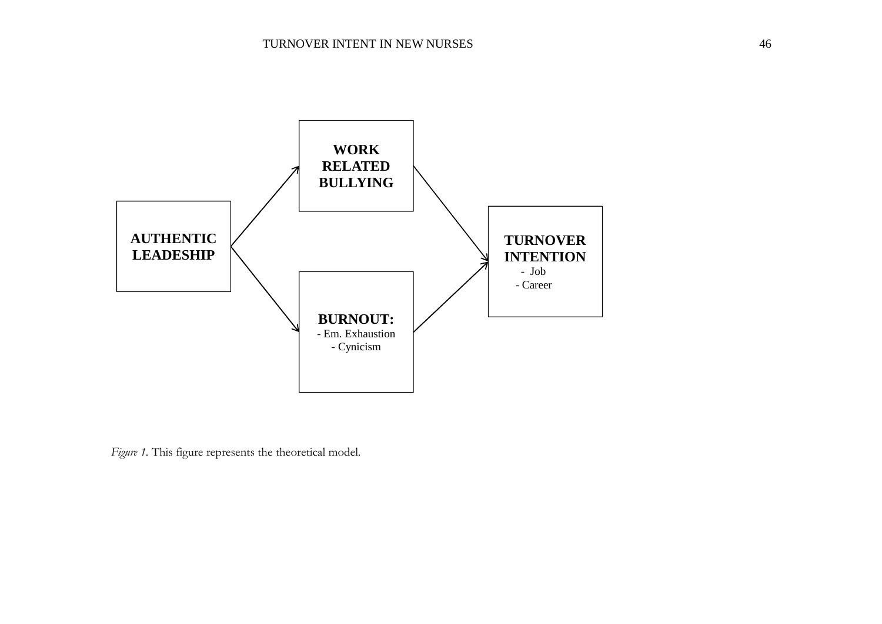

*Figure 1*. This figure represents the theoretical model.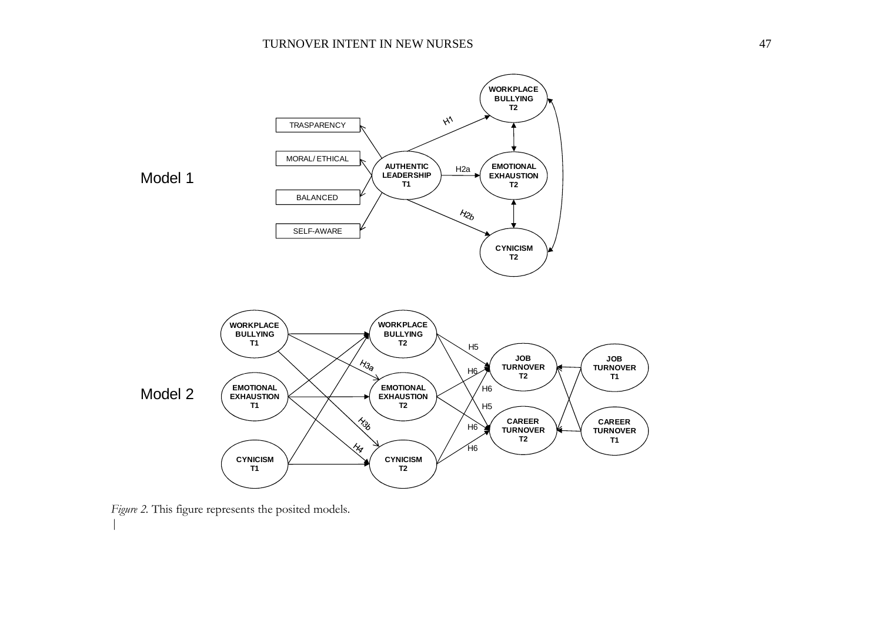

Figure 2. This figure represents the posited models.

*|*